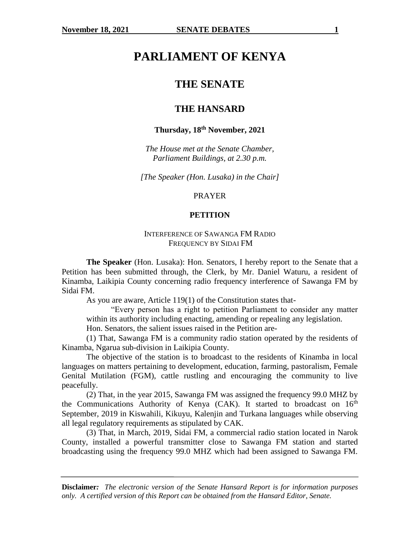# **PARLIAMENT OF KENYA**

# **THE SENATE**

# **THE HANSARD**

# **Thursday, 18th November, 2021**

*The House met at the Senate Chamber, Parliament Buildings, at 2.30 p.m.*

*[The Speaker (Hon. Lusaka) in the Chair]*

#### PRAYER

#### **PETITION**

### INTERFERENCE OF SAWANGA FM RADIO FREQUENCY BY SIDAI FM

**The Speaker** (Hon. Lusaka): Hon. Senators, I hereby report to the Senate that a Petition has been submitted through, the Clerk, by Mr. Daniel Waturu, a resident of Kinamba, Laikipia County concerning radio frequency interference of Sawanga FM by Sidai FM.

As you are aware, Article 119(1) of the Constitution states that-

"Every person has a right to petition Parliament to consider any matter within its authority including enacting, amending or repealing any legislation.

Hon. Senators, the salient issues raised in the Petition are-

(1) That, Sawanga FM is a community radio station operated by the residents of Kinamba, Ngarua sub-division in Laikipia County.

The objective of the station is to broadcast to the residents of Kinamba in local languages on matters pertaining to development, education, farming, pastoralism, Female Genital Mutilation (FGM), cattle rustling and encouraging the community to live peacefully.

(2) That, in the year 2015, Sawanga FM was assigned the frequency 99.0 MHZ by the Communications Authority of Kenya (CAK). It started to broadcast on  $16<sup>th</sup>$ September, 2019 in Kiswahili, Kikuyu, Kalenjin and Turkana languages while observing all legal regulatory requirements as stipulated by CAK.

(3) That, in March, 2019, Sidai FM, a commercial radio station located in Narok County, installed a powerful transmitter close to Sawanga FM station and started broadcasting using the frequency 99.0 MHZ which had been assigned to Sawanga FM.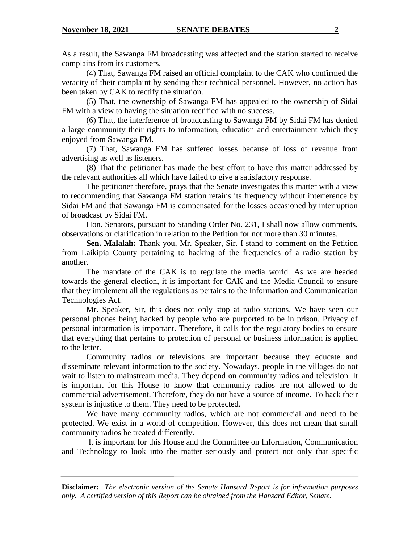As a result, the Sawanga FM broadcasting was affected and the station started to receive complains from its customers.

(4) That, Sawanga FM raised an official complaint to the CAK who confirmed the veracity of their complaint by sending their technical personnel. However, no action has been taken by CAK to rectify the situation.

(5) That, the ownership of Sawanga FM has appealed to the ownership of Sidai FM with a view to having the situation rectified with no success.

(6) That, the interference of broadcasting to Sawanga FM by Sidai FM has denied a large community their rights to information, education and entertainment which they enjoyed from Sawanga FM.

(7) That, Sawanga FM has suffered losses because of loss of revenue from advertising as well as listeners.

(8) That the petitioner has made the best effort to have this matter addressed by the relevant authorities all which have failed to give a satisfactory response.

The petitioner therefore, prays that the Senate investigates this matter with a view to recommending that Sawanga FM station retains its frequency without interference by Sidai FM and that Sawanga FM is compensated for the losses occasioned by interruption of broadcast by Sidai FM.

Hon. Senators, pursuant to Standing Order No. 231, I shall now allow comments, observations or clarification in relation to the Petition for not more than 30 minutes.

**Sen. Malalah:** Thank you, Mr. Speaker, Sir. I stand to comment on the Petition from Laikipia County pertaining to hacking of the frequencies of a radio station by another.

The mandate of the CAK is to regulate the media world. As we are headed towards the general election, it is important for CAK and the Media Council to ensure that they implement all the regulations as pertains to the Information and Communication Technologies Act.

Mr. Speaker, Sir, this does not only stop at radio stations. We have seen our personal phones being hacked by people who are purported to be in prison. Privacy of personal information is important. Therefore, it calls for the regulatory bodies to ensure that everything that pertains to protection of personal or business information is applied to the letter.

Community radios or televisions are important because they educate and disseminate relevant information to the society. Nowadays, people in the villages do not wait to listen to mainstream media. They depend on community radios and television. It is important for this House to know that community radios are not allowed to do commercial advertisement. Therefore, they do not have a source of income. To hack their system is injustice to them. They need to be protected.

We have many community radios, which are not commercial and need to be protected. We exist in a world of competition. However, this does not mean that small community radios be treated differently.

It is important for this House and the Committee on Information, Communication and Technology to look into the matter seriously and protect not only that specific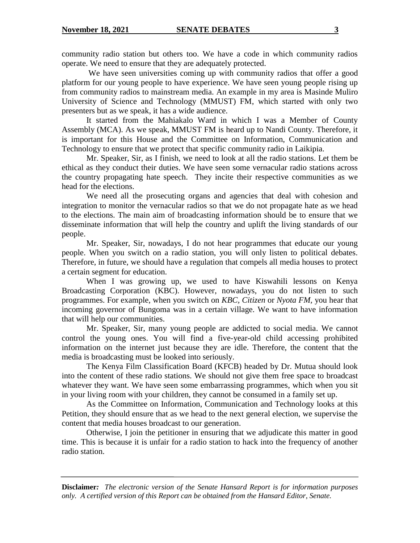community radio station but others too. We have a code in which community radios operate. We need to ensure that they are adequately protected.

We have seen universities coming up with community radios that offer a good platform for our young people to have experience. We have seen young people rising up from community radios to mainstream media. An example in my area is Masinde Muliro University of Science and Technology (MMUST) FM, which started with only two presenters but as we speak, it has a wide audience.

It started from the Mahiakalo Ward in which I was a Member of County Assembly (MCA). As we speak, MMUST FM is heard up to Nandi County. Therefore, it is important for this House and the Committee on Information, Communication and Technology to ensure that we protect that specific community radio in Laikipia.

Mr. Speaker, Sir, as I finish, we need to look at all the radio stations. Let them be ethical as they conduct their duties. We have seen some vernacular radio stations across the country propagating hate speech. They incite their respective communities as we head for the elections.

We need all the prosecuting organs and agencies that deal with cohesion and integration to monitor the vernacular radios so that we do not propagate hate as we head to the elections. The main aim of broadcasting information should be to ensure that we disseminate information that will help the country and uplift the living standards of our people.

Mr. Speaker, Sir, nowadays, I do not hear programmes that educate our young people. When you switch on a radio station, you will only listen to political debates. Therefore, in future, we should have a regulation that compels all media houses to protect a certain segment for education.

When I was growing up, we used to have Kiswahili lessons on Kenya Broadcasting Corporation (KBC). However, nowadays, you do not listen to such programmes. For example, when you switch on *KBC, Citizen* or *Nyota FM,* you hear that incoming governor of Bungoma was in a certain village. We want to have information that will help our communities.

Mr. Speaker, Sir, many young people are addicted to social media. We cannot control the young ones. You will find a five-year-old child accessing prohibited information on the internet just because they are idle. Therefore, the content that the media is broadcasting must be looked into seriously.

The Kenya Film Classification Board (KFCB) headed by Dr. Mutua should look into the content of these radio stations. We should not give them free space to broadcast whatever they want. We have seen some embarrassing programmes, which when you sit in your living room with your children, they cannot be consumed in a family set up.

As the Committee on Information, Communication and Technology looks at this Petition, they should ensure that as we head to the next general election, we supervise the content that media houses broadcast to our generation.

Otherwise, I join the petitioner in ensuring that we adjudicate this matter in good time. This is because it is unfair for a radio station to hack into the frequency of another radio station.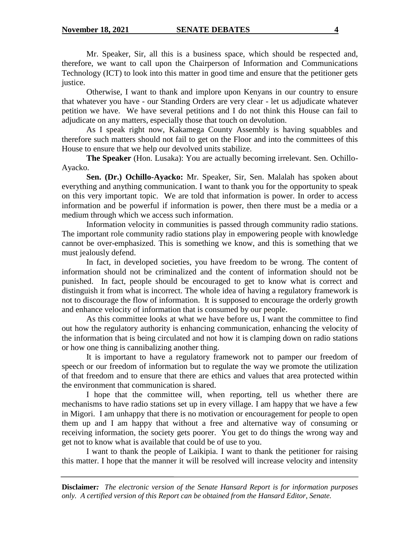Mr. Speaker, Sir, all this is a business space, which should be respected and, therefore, we want to call upon the Chairperson of Information and Communications Technology (ICT) to look into this matter in good time and ensure that the petitioner gets justice.

Otherwise, I want to thank and implore upon Kenyans in our country to ensure that whatever you have - our Standing Orders are very clear - let us adjudicate whatever petition we have. We have several petitions and I do not think this House can fail to adjudicate on any matters, especially those that touch on devolution.

As I speak right now, Kakamega County Assembly is having squabbles and therefore such matters should not fail to get on the Floor and into the committees of this House to ensure that we help our devolved units stabilize.

**The Speaker** (Hon. Lusaka): You are actually becoming irrelevant. Sen. Ochillo-Ayacko.

**Sen. (Dr.) Ochillo-Ayacko:** Mr. Speaker, Sir, Sen. Malalah has spoken about everything and anything communication. I want to thank you for the opportunity to speak on this very important topic. We are told that information is power. In order to access information and be powerful if information is power, then there must be a media or a medium through which we access such information.

Information velocity in communities is passed through community radio stations. The important role community radio stations play in empowering people with knowledge cannot be over-emphasized. This is something we know, and this is something that we must jealously defend.

In fact, in developed societies, you have freedom to be wrong. The content of information should not be criminalized and the content of information should not be punished. In fact, people should be encouraged to get to know what is correct and distinguish it from what is incorrect. The whole idea of having a regulatory framework is not to discourage the flow of information. It is supposed to encourage the orderly growth and enhance velocity of information that is consumed by our people.

As this committee looks at what we have before us, I want the committee to find out how the regulatory authority is enhancing communication, enhancing the velocity of the information that is being circulated and not how it is clamping down on radio stations or how one thing is cannibalizing another thing.

It is important to have a regulatory framework not to pamper our freedom of speech or our freedom of information but to regulate the way we promote the utilization of that freedom and to ensure that there are ethics and values that area protected within the environment that communication is shared.

I hope that the committee will, when reporting, tell us whether there are mechanisms to have radio stations set up in every village. I am happy that we have a few in Migori. I am unhappy that there is no motivation or encouragement for people to open them up and I am happy that without a free and alternative way of consuming or receiving information, the society gets poorer. You get to do things the wrong way and get not to know what is available that could be of use to you.

I want to thank the people of Laikipia. I want to thank the petitioner for raising this matter. I hope that the manner it will be resolved will increase velocity and intensity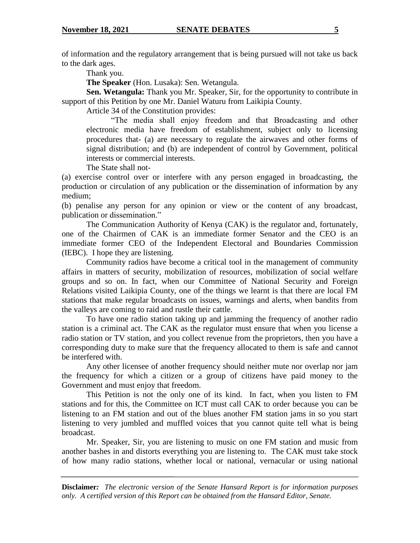of information and the regulatory arrangement that is being pursued will not take us back to the dark ages.

Thank you.

**The Speaker** (Hon. Lusaka): Sen. Wetangula.

**Sen. Wetangula:** Thank you Mr. Speaker, Sir, for the opportunity to contribute in support of this Petition by one Mr. Daniel Waturu from Laikipia County.

Article 34 of the Constitution provides:

"The media shall enjoy freedom and that Broadcasting and other electronic media have freedom of establishment, subject only to licensing procedures that- (a) are necessary to regulate the airwaves and other forms of signal distribution; and (b) are independent of control by Government, political interests or commercial interests.

The State shall not-

(a) exercise control over or interfere with any person engaged in broadcasting, the production or circulation of any publication or the dissemination of information by any medium;

(b) penalise any person for any opinion or view or the content of any broadcast, publication or dissemination."

The Communication Authority of Kenya (CAK) is the regulator and, fortunately, one of the Chairmen of CAK is an immediate former Senator and the CEO is an immediate former CEO of the Independent Electoral and Boundaries Commission (IEBC). I hope they are listening.

Community radios have become a critical tool in the management of community affairs in matters of security, mobilization of resources, mobilization of social welfare groups and so on. In fact, when our Committee of National Security and Foreign Relations visited Laikipia County, one of the things we learnt is that there are local FM stations that make regular broadcasts on issues, warnings and alerts, when bandits from the valleys are coming to raid and rustle their cattle.

To have one radio station taking up and jamming the frequency of another radio station is a criminal act. The CAK as the regulator must ensure that when you license a radio station or TV station, and you collect revenue from the proprietors, then you have a corresponding duty to make sure that the frequency allocated to them is safe and cannot be interfered with.

Any other licensee of another frequency should neither mute nor overlap nor jam the frequency for which a citizen or a group of citizens have paid money to the Government and must enjoy that freedom.

This Petition is not the only one of its kind. In fact, when you listen to FM stations and for this, the Committee on ICT must call CAK to order because you can be listening to an FM station and out of the blues another FM station jams in so you start listening to very jumbled and muffled voices that you cannot quite tell what is being broadcast.

Mr. Speaker, Sir, you are listening to music on one FM station and music from another bashes in and distorts everything you are listening to. The CAK must take stock of how many radio stations, whether local or national, vernacular or using national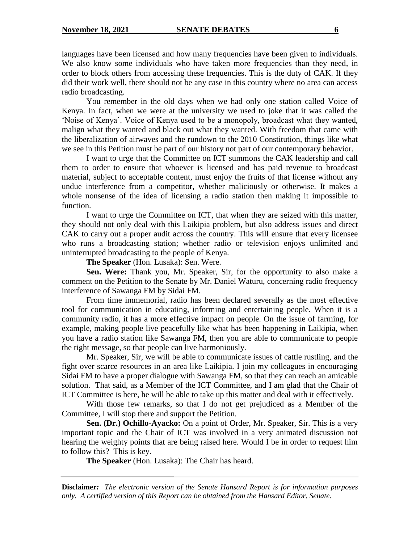languages have been licensed and how many frequencies have been given to individuals. We also know some individuals who have taken more frequencies than they need, in order to block others from accessing these frequencies. This is the duty of CAK. If they did their work well, there should not be any case in this country where no area can access radio broadcasting.

You remember in the old days when we had only one station called Voice of Kenya. In fact, when we were at the university we used to joke that it was called the 'Noise of Kenya'. Voice of Kenya used to be a monopoly, broadcast what they wanted, malign what they wanted and black out what they wanted. With freedom that came with the liberalization of airwaves and the rundown to the 2010 Constitution, things like what we see in this Petition must be part of our history not part of our contemporary behavior.

I want to urge that the Committee on ICT summons the CAK leadership and call them to order to ensure that whoever is licensed and has paid revenue to broadcast material, subject to acceptable content, must enjoy the fruits of that license without any undue interference from a competitor, whether maliciously or otherwise. It makes a whole nonsense of the idea of licensing a radio station then making it impossible to function.

I want to urge the Committee on ICT, that when they are seized with this matter, they should not only deal with this Laikipia problem, but also address issues and direct CAK to carry out a proper audit across the country. This will ensure that every licensee who runs a broadcasting station; whether radio or television enjoys unlimited and uninterrupted broadcasting to the people of Kenya.

**The Speaker** (Hon. Lusaka): Sen. Were.

**Sen. Were:** Thank you, Mr. Speaker, Sir, for the opportunity to also make a comment on the Petition to the Senate by Mr. Daniel Waturu, concerning radio frequency interference of Sawanga FM by Sidai FM.

From time immemorial, radio has been declared severally as the most effective tool for communication in educating, informing and entertaining people. When it is a community radio, it has a more effective impact on people. On the issue of farming, for example, making people live peacefully like what has been happening in Laikipia, when you have a radio station like Sawanga FM, then you are able to communicate to people the right message, so that people can live harmoniously.

Mr. Speaker, Sir, we will be able to communicate issues of cattle rustling, and the fight over scarce resources in an area like Laikipia. I join my colleagues in encouraging Sidai FM to have a proper dialogue with Sawanga FM, so that they can reach an amicable solution. That said, as a Member of the ICT Committee, and I am glad that the Chair of ICT Committee is here, he will be able to take up this matter and deal with it effectively.

With those few remarks, so that I do not get prejudiced as a Member of the Committee, I will stop there and support the Petition.

**Sen. (Dr.) Ochillo-Ayacko:** On a point of Order, Mr. Speaker, Sir. This is a very important topic and the Chair of ICT was involved in a very animated discussion not hearing the weighty points that are being raised here. Would I be in order to request him to follow this? This is key.

**The Speaker** (Hon. Lusaka): The Chair has heard.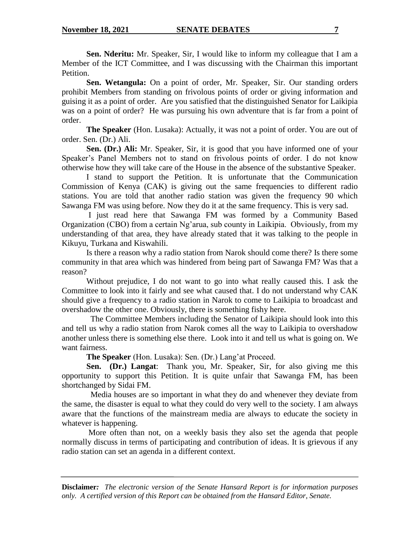**Sen. Nderitu:** Mr. Speaker, Sir, I would like to inform my colleague that I am a Member of the ICT Committee, and I was discussing with the Chairman this important Petition.

**Sen. Wetangula:** On a point of order, Mr. Speaker, Sir. Our standing orders prohibit Members from standing on frivolous points of order or giving information and guising it as a point of order. Are you satisfied that the distinguished Senator for Laikipia was on a point of order? He was pursuing his own adventure that is far from a point of order.

**The Speaker** (Hon. Lusaka): Actually, it was not a point of order. You are out of order. Sen. (Dr.) Ali.

**Sen. (Dr.) Ali:** Mr. Speaker, Sir, it is good that you have informed one of your Speaker's Panel Members not to stand on frivolous points of order. I do not know otherwise how they will take care of the House in the absence of the substantive Speaker.

I stand to support the Petition. It is unfortunate that the Communication Commission of Kenya (CAK) is giving out the same frequencies to different radio stations. You are told that another radio station was given the frequency 90 which Sawanga FM was using before. Now they do it at the same frequency. This is very sad.

I just read here that Sawanga FM was formed by a Community Based Organization (CBO) from a certain Ng'arua, sub county in Laikipia. Obviously, from my understanding of that area, they have already stated that it was talking to the people in Kikuyu, Turkana and Kiswahili.

Is there a reason why a radio station from Narok should come there? Is there some community in that area which was hindered from being part of Sawanga FM? Was that a reason?

Without prejudice, I do not want to go into what really caused this. I ask the Committee to look into it fairly and see what caused that. I do not understand why CAK should give a frequency to a radio station in Narok to come to Laikipia to broadcast and overshadow the other one. Obviously, there is something fishy here.

 The Committee Members including the Senator of Laikipia should look into this and tell us why a radio station from Narok comes all the way to Laikipia to overshadow another unless there is something else there. Look into it and tell us what is going on. We want fairness.

**The Speaker** (Hon. Lusaka): Sen. (Dr.) Lang'at Proceed.

**Sen. (Dr.) Langat**: Thank you, Mr. Speaker, Sir, for also giving me this opportunity to support this Petition. It is quite unfair that Sawanga FM, has been shortchanged by Sidai FM.

 Media houses are so important in what they do and whenever they deviate from the same, the disaster is equal to what they could do very well to the society. I am always aware that the functions of the mainstream media are always to educate the society in whatever is happening.

More often than not, on a weekly basis they also set the agenda that people normally discuss in terms of participating and contribution of ideas. It is grievous if any radio station can set an agenda in a different context.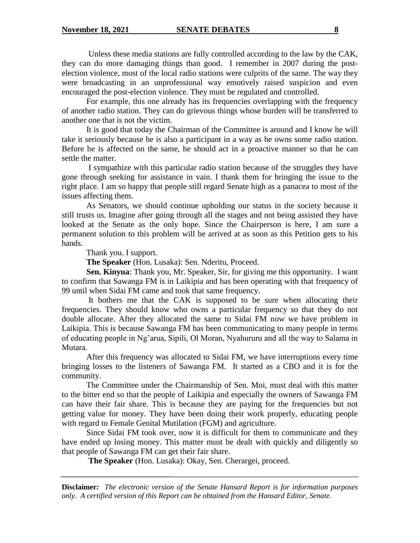Unless these media stations are fully controlled according to the law by the CAK, they can do more damaging things than good. I remember in 2007 during the postelection violence, most of the local radio stations were culprits of the same. The way they were broadcasting in an unprofessional way emotively raised suspicion and even encouraged the post-election violence. They must be regulated and controlled.

For example, this one already has its frequencies overlapping with the frequency of another radio station. They can do grievous things whose burden will be transferred to another one that is not the victim.

It is good that today the Chairman of the Committee is around and I know he will take it seriously because he is also a participant in a way as he owns some radio station. Before he is affected on the same, he should act in a proactive manner so that he can settle the matter.

I sympathize with this particular radio station because of the struggles they have gone through seeking for assistance in vain. I thank them for bringing the issue to the right place. I am so happy that people still regard Senate high as a panacea to most of the issues affecting them.

As Senators, we should continue upholding our status in the society because it still trusts us. Imagine after going through all the stages and not being assisted they have looked at the Senate as the only hope. Since the Chairperson is here, I am sure a permanent solution to this problem will be arrived at as soon as this Petition gets to his hands.

Thank you. I support.

**The Speaker** (Hon. Lusaka): Sen. Nderitu, Proceed.

**Sen. Kinyua**: Thank you, Mr. Speaker, Sir, for giving me this opportunity. I want to confirm that Sawanga FM is in Laikipia and has been operating with that frequency of 99 until when Sidai FM came and took that same frequency.

It bothers me that the CAK is supposed to be sure when allocating their frequencies. They should know who owns a particular frequency so that they do not double allocate. After they allocated the same to Sidai FM now we have problem in Laikipia. This is because Sawanga FM has been communicating to many people in terms of educating people in Ng'arua, Sipili, Ol Moran, Nyahururu and all the way to Salama in Mutara.

After this frequency was allocated to Sidai FM, we have interruptions every time bringing losses to the listeners of Sawanga FM. It started as a CBO and it is for the community.

The Committee under the Chairmanship of Sen. Moi, must deal with this matter to the bitter end so that the people of Laikipia and especially the owners of Sawanga FM can have their fair share. This is because they are paying for the frequencies but not getting value for money. They have been doing their work properly, educating people with regard to Female Genital Mutilation (FGM) and agriculture.

Since Sidai FM took over, now it is difficult for them to communicate and they have ended up losing money. This matter must be dealt with quickly and diligently so that people of Sawanga FM can get their fair share.

**The Speaker** (Hon. Lusaka): Okay, Sen. Cherargei, proceed.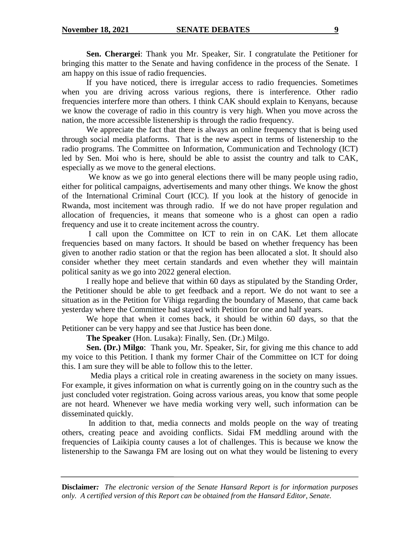**Sen. Cherargei**: Thank you Mr. Speaker, Sir. I congratulate the Petitioner for bringing this matter to the Senate and having confidence in the process of the Senate. I am happy on this issue of radio frequencies.

If you have noticed, there is irregular access to radio frequencies. Sometimes when you are driving across various regions, there is interference. Other radio frequencies interfere more than others. I think CAK should explain to Kenyans, because we know the coverage of radio in this country is very high. When you move across the nation, the more accessible listenership is through the radio frequency.

We appreciate the fact that there is always an online frequency that is being used through social media platforms. That is the new aspect in terms of listenership to the radio programs. The Committee on Information, Communication and Technology (ICT) led by Sen. Moi who is here, should be able to assist the country and talk to CAK, especially as we move to the general elections.

We know as we go into general elections there will be many people using radio, either for political campaigns, advertisements and many other things. We know the ghost of the International Criminal Court (ICC). If you look at the history of genocide in Rwanda, most incitement was through radio. If we do not have proper regulation and allocation of frequencies, it means that someone who is a ghost can open a radio frequency and use it to create incitement across the country.

I call upon the Committee on ICT to rein in on CAK. Let them allocate frequencies based on many factors. It should be based on whether frequency has been given to another radio station or that the region has been allocated a slot. It should also consider whether they meet certain standards and even whether they will maintain political sanity as we go into 2022 general election.

I really hope and believe that within 60 days as stipulated by the Standing Order, the Petitioner should be able to get feedback and a report. We do not want to see a situation as in the Petition for Vihiga regarding the boundary of Maseno, that came back yesterday where the Committee had stayed with Petition for one and half years.

We hope that when it comes back, it should be within 60 days, so that the Petitioner can be very happy and see that Justice has been done.

**The Speaker** (Hon. Lusaka): Finally, Sen. (Dr.) Milgo.

**Sen. (Dr.) Milgo**: Thank you, Mr. Speaker, Sir, for giving me this chance to add my voice to this Petition. I thank my former Chair of the Committee on ICT for doing this. I am sure they will be able to follow this to the letter.

 Media plays a critical role in creating awareness in the society on many issues. For example, it gives information on what is currently going on in the country such as the just concluded voter registration. Going across various areas, you know that some people are not heard. Whenever we have media working very well, such information can be disseminated quickly.

In addition to that, media connects and molds people on the way of treating others, creating peace and avoiding conflicts. Sidai FM meddling around with the frequencies of Laikipia county causes a lot of challenges. This is because we know the listenership to the Sawanga FM are losing out on what they would be listening to every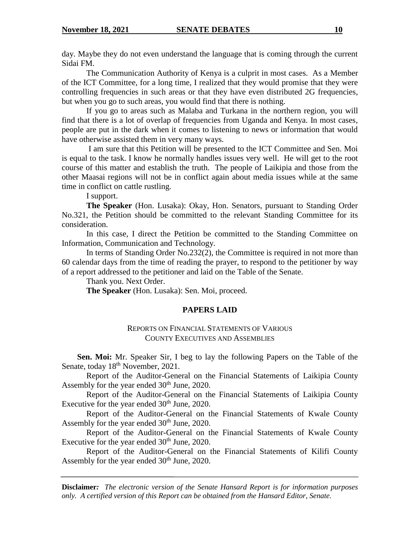day. Maybe they do not even understand the language that is coming through the current Sidai FM.

The Communication Authority of Kenya is a culprit in most cases. As a Member of the ICT Committee, for a long time, I realized that they would promise that they were controlling frequencies in such areas or that they have even distributed 2G frequencies, but when you go to such areas, you would find that there is nothing.

If you go to areas such as Malaba and Turkana in the northern region, you will find that there is a lot of overlap of frequencies from Uganda and Kenya. In most cases, people are put in the dark when it comes to listening to news or information that would have otherwise assisted them in very many ways.

I am sure that this Petition will be presented to the ICT Committee and Sen. Moi is equal to the task. I know he normally handles issues very well. He will get to the root course of this matter and establish the truth. The people of Laikipia and those from the other Maasai regions will not be in conflict again about media issues while at the same time in conflict on cattle rustling.

I support.

**The Speaker** (Hon. Lusaka): Okay, Hon. Senators, pursuant to Standing Order No.321, the Petition should be committed to the relevant Standing Committee for its consideration.

In this case, I direct the Petition be committed to the Standing Committee on Information, Communication and Technology.

In terms of Standing Order No.232(2), the Committee is required in not more than 60 calendar days from the time of reading the prayer, to respond to the petitioner by way of a report addressed to the petitioner and laid on the Table of the Senate.

Thank you. Next Order.

**The Speaker** (Hon. Lusaka): Sen. Moi, proceed.

# **PAPERS LAID**

### REPORTS ON FINANCIAL STATEMENTS OF VARIOUS COUNTY EXECUTIVES AND ASSEMBLIES

**Sen. Moi:** Mr. Speaker Sir, I beg to lay the following Papers on the Table of the Senate, today  $18<sup>th</sup>$  November, 2021.

Report of the Auditor-General on the Financial Statements of Laikipia County Assembly for the year ended  $30<sup>th</sup>$  June, 2020.

Report of the Auditor-General on the Financial Statements of Laikipia County Executive for the year ended  $30<sup>th</sup>$  June, 2020.

Report of the Auditor-General on the Financial Statements of Kwale County Assembly for the year ended  $30<sup>th</sup>$  June, 2020.

Report of the Auditor-General on the Financial Statements of Kwale County Executive for the year ended  $30<sup>th</sup>$  June, 2020.

Report of the Auditor-General on the Financial Statements of Kilifi County Assembly for the year ended  $30<sup>th</sup>$  June, 2020.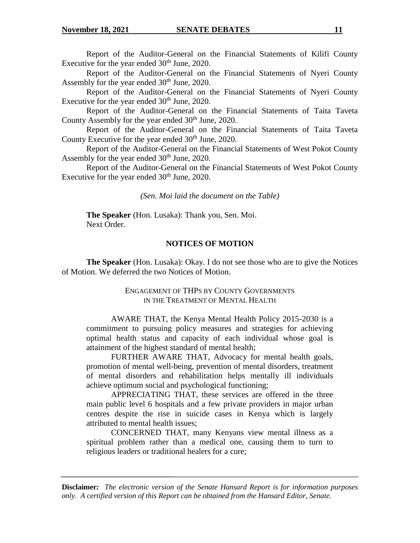Report of the Auditor-General on the Financial Statements of Kilifi County Executive for the year ended  $30<sup>th</sup>$  June, 2020.

Report of the Auditor-General on the Financial Statements of Nyeri County Assembly for the year ended 30<sup>th</sup> June, 2020.

Report of the Auditor-General on the Financial Statements of Nyeri County Executive for the year ended  $30<sup>th</sup>$  June, 2020.

Report of the Auditor-General on the Financial Statements of Taita Taveta County Assembly for the year ended  $30<sup>th</sup>$  June, 2020.

Report of the Auditor-General on the Financial Statements of Taita Taveta County Executive for the year ended  $30<sup>th</sup>$  June, 2020.

Report of the Auditor-General on the Financial Statements of West Pokot County Assembly for the year ended  $30<sup>th</sup>$  June, 2020.

Report of the Auditor-General on the Financial Statements of West Pokot County Executive for the year ended  $30<sup>th</sup>$  June, 2020.

*(Sen. Moi laid the document on the Table)*

**The Speaker** (Hon. Lusaka): Thank you, Sen. Moi. Next Order.

#### **NOTICES OF MOTION**

**The Speaker** (Hon. Lusaka): Okay. I do not see those who are to give the Notices of Motion. We deferred the two Notices of Motion.

# ENGAGEMENT OF THPS BY COUNTY GOVERNMENTS IN THE TREATMENT OF MENTAL HEALTH

AWARE THAT, the Kenya Mental Health Policy 2015-2030 is a commitment to pursuing policy measures and strategies for achieving optimal health status and capacity of each individual whose goal is attainment of the highest standard of mental health;

FURTHER AWARE THAT, Advocacy for mental health goals, promotion of mental well-being, prevention of mental disorders, treatment of mental disorders and rehabilitation helps mentally ill individuals achieve optimum social and psychological functioning;

APPRECIATING THAT, these services are offered in the three main public level 6 hospitals and a few private providers in major urban centres despite the rise in suicide cases in Kenya which is largely attributed to mental health issues;

CONCERNED THAT, many Kenyans view mental illness as a spiritual problem rather than a medical one, causing them to turn to religious leaders or traditional healers for a cure;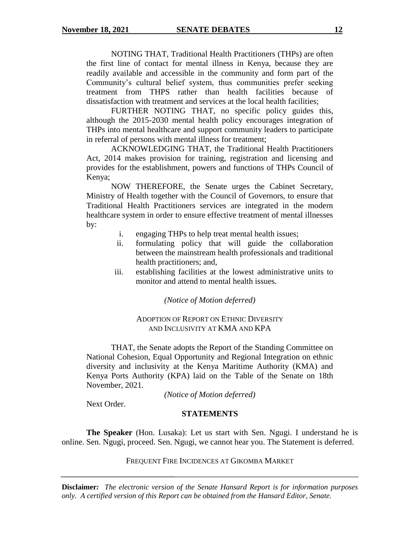NOTING THAT, Traditional Health Practitioners (THPs) are often the first line of contact for mental illness in Kenya, because they are readily available and accessible in the community and form part of the Community's cultural belief system, thus communities prefer seeking treatment from THPS rather than health facilities because of dissatisfaction with treatment and services at the local health facilities;

FURTHER NOTING THAT, no specific policy guides this, although the 2015-2030 mental health policy encourages integration of THPs into mental healthcare and support community leaders to participate in referral of persons with mental illness for treatment;

ACKNOWLEDGING THAT, the Traditional Health Practitioners Act, 2014 makes provision for training, registration and licensing and provides for the establishment, powers and functions of THPs Council of Kenya;

NOW THEREFORE, the Senate urges the Cabinet Secretary, Ministry of Health together with the Council of Governors, to ensure that Traditional Health Practitioners services are integrated in the modern healthcare system in order to ensure effective treatment of mental illnesses by:

- i. engaging THPs to help treat mental health issues;
- ii. formulating policy that will guide the collaboration between the mainstream health professionals and traditional health practitioners; and,
- iii. establishing facilities at the lowest administrative units to monitor and attend to mental health issues.

*(Notice of Motion deferred)*

### ADOPTION OF REPORT ON ETHNIC DIVERSITY AND INCLUSIVITY AT KMA AND KPA

THAT, the Senate adopts the Report of the Standing Committee on National Cohesion, Equal Opportunity and Regional Integration on ethnic diversity and inclusivity at the Kenya Maritime Authority (KMA) and Kenya Ports Authority (KPA) laid on the Table of the Senate on 18th November, 2021.

*(Notice of Motion deferred)*

Next Order.

### **STATEMENTS**

**The Speaker** (Hon. Lusaka): Let us start with Sen. Ngugi. I understand he is online. Sen. Ngugi, proceed. Sen. Ngugi, we cannot hear you. The Statement is deferred.

FREQUENT FIRE INCIDENCES AT GIKOMBA MARKET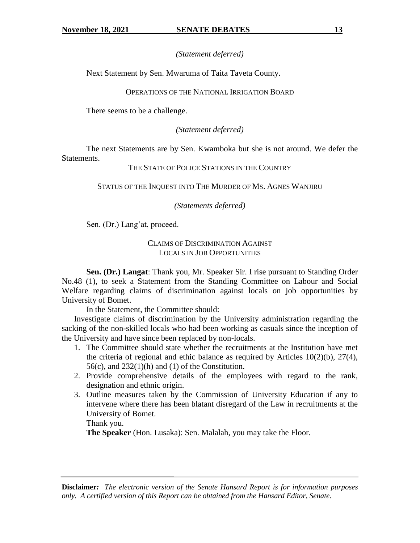# *(Statement deferred)*

Next Statement by Sen. Mwaruma of Taita Taveta County.

# OPERATIONS OF THE NATIONAL IRRIGATION BOARD

There seems to be a challenge.

# *(Statement deferred)*

The next Statements are by Sen. Kwamboka but she is not around. We defer the Statements.

# THE STATE OF POLICE STATIONS IN THE COUNTRY

STATUS OF THE INQUEST INTO THE MURDER OF MS. AGNES WANJIRU

# *(Statements deferred)*

Sen. (Dr.) Lang'at, proceed.

# CLAIMS OF DISCRIMINATION AGAINST LOCALS IN JOB OPPORTUNITIES

**Sen. (Dr.) Langat**: Thank you, Mr. Speaker Sir. I rise pursuant to Standing Order No.48 (1), to seek a Statement from the Standing Committee on Labour and Social Welfare regarding claims of discrimination against locals on job opportunities by University of Bomet.

In the Statement, the Committee should:

Investigate claims of discrimination by the University administration regarding the sacking of the non-skilled locals who had been working as casuals since the inception of the University and have since been replaced by non-locals.

- 1. The Committee should state whether the recruitments at the Institution have met the criteria of regional and ethic balance as required by Articles  $10(2)(b)$ ,  $27(4)$ ,  $56(c)$ , and  $232(1)(h)$  and (1) of the Constitution.
- 2. Provide comprehensive details of the employees with regard to the rank, designation and ethnic origin.
- 3. Outline measures taken by the Commission of University Education if any to intervene where there has been blatant disregard of the Law in recruitments at the University of Bomet.

Thank you.

**The Speaker** (Hon. Lusaka): Sen. Malalah, you may take the Floor.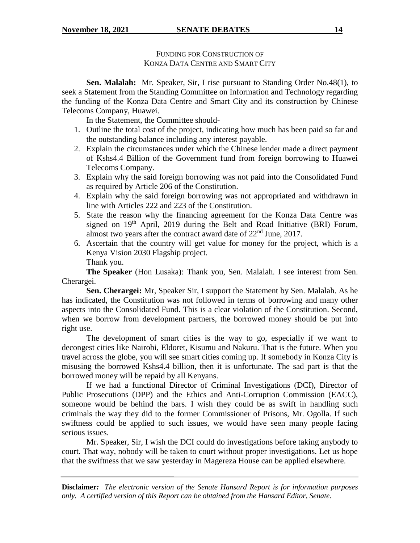FUNDING FOR CONSTRUCTION OF KONZA DATA CENTRE AND SMART CITY

**Sen. Malalah:** Mr. Speaker, Sir, I rise pursuant to Standing Order No.48(1), to seek a Statement from the Standing Committee on Information and Technology regarding the funding of the Konza Data Centre and Smart City and its construction by Chinese Telecoms Company, Huawei.

In the Statement, the Committee should-

- 1. Outline the total cost of the project, indicating how much has been paid so far and the outstanding balance including any interest payable.
- 2. Explain the circumstances under which the Chinese lender made a direct payment of Kshs4.4 Billion of the Government fund from foreign borrowing to Huawei Telecoms Company.
- 3. Explain why the said foreign borrowing was not paid into the Consolidated Fund as required by Article 206 of the Constitution.
- 4. Explain why the said foreign borrowing was not appropriated and withdrawn in line with Articles 222 and 223 of the Constitution.
- 5. State the reason why the financing agreement for the Konza Data Centre was signed on  $19<sup>th</sup>$  April, 2019 during the Belt and Road Initiative (BRI) Forum, almost two years after the contract award date of  $22<sup>nd</sup>$  June, 2017.
- 6. Ascertain that the country will get value for money for the project, which is a Kenya Vision 2030 Flagship project. Thank you.

**The Speaker** (Hon Lusaka): Thank you, Sen. Malalah. I see interest from Sen. Cherargei.

**Sen. Cherargei:** Mr, Speaker Sir, I support the Statement by Sen. Malalah. As he has indicated, the Constitution was not followed in terms of borrowing and many other aspects into the Consolidated Fund. This is a clear violation of the Constitution. Second, when we borrow from development partners, the borrowed money should be put into right use.

The development of smart cities is the way to go, especially if we want to decongest cities like Nairobi, Eldoret, Kisumu and Nakuru. That is the future. When you travel across the globe, you will see smart cities coming up. If somebody in Konza City is misusing the borrowed Kshs4.4 billion, then it is unfortunate. The sad part is that the borrowed money will be repaid by all Kenyans.

If we had a functional Director of Criminal Investigations (DCI), Director of Public Prosecutions (DPP) and the Ethics and Anti-Corruption Commission (EACC), someone would be behind the bars. I wish they could be as swift in handling such criminals the way they did to the former Commissioner of Prisons, Mr. Ogolla. If such swiftness could be applied to such issues, we would have seen many people facing serious issues.

Mr. Speaker, Sir, I wish the DCI could do investigations before taking anybody to court. That way, nobody will be taken to court without proper investigations. Let us hope that the swiftness that we saw yesterday in Magereza House can be applied elsewhere.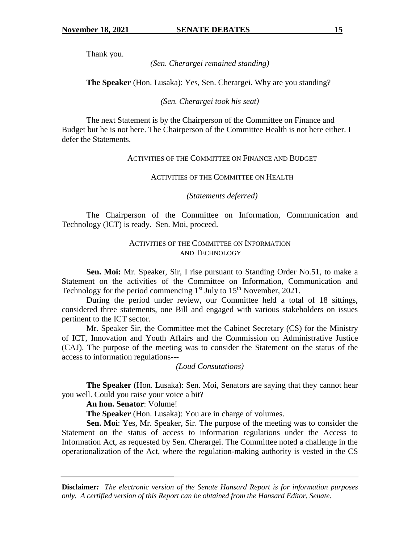Thank you.

*(Sen. Cherargei remained standing)*

**The Speaker** (Hon. Lusaka): Yes, Sen. Cherargei. Why are you standing?

*(Sen. Cherargei took his seat)*

The next Statement is by the Chairperson of the Committee on Finance and Budget but he is not here. The Chairperson of the Committee Health is not here either. I defer the Statements.

# ACTIVITIES OF THE COMMITTEE ON FINANCE AND BUDGET

ACTIVITIES OF THE COMMITTEE ON HEALTH

*(Statements deferred)*

The Chairperson of the Committee on Information, Communication and Technology (ICT) is ready. Sen. Moi, proceed.

# ACTIVITIES OF THE COMMITTEE ON INFORMATION AND TECHNOLOGY

**Sen. Moi:** Mr. Speaker, Sir, I rise pursuant to Standing Order No.51, to make a Statement on the activities of the Committee on Information, Communication and Technology for the period commencing  $1<sup>st</sup>$  July to  $15<sup>th</sup>$  November, 2021.

During the period under review, our Committee held a total of 18 sittings, considered three statements, one Bill and engaged with various stakeholders on issues pertinent to the ICT sector.

Mr. Speaker Sir, the Committee met the Cabinet Secretary (CS) for the Ministry of ICT, Innovation and Youth Affairs and the Commission on Administrative Justice (CAJ). The purpose of the meeting was to consider the Statement on the status of the access to information regulations---

*(Loud Consutations)*

**The Speaker** (Hon. Lusaka): Sen. Moi, Senators are saying that they cannot hear you well. Could you raise your voice a bit?

**An hon. Senator**: Volume!

**The Speaker** (Hon. Lusaka): You are in charge of volumes.

**Sen. Moi**: Yes, Mr. Speaker, Sir. The purpose of the meeting was to consider the Statement on the status of access to information regulations under the Access to Information Act, as requested by Sen. Cherargei. The Committee noted a challenge in the operationalization of the Act, where the regulation-making authority is vested in the CS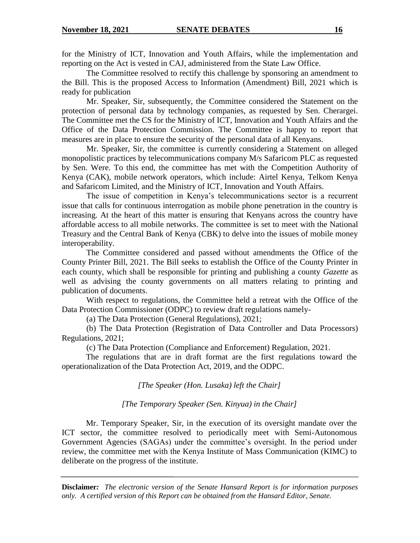for the Ministry of ICT, Innovation and Youth Affairs, while the implementation and reporting on the Act is vested in CAJ, administered from the State Law Office.

The Committee resolved to rectify this challenge by sponsoring an amendment to the Bill. This is the proposed Access to Information (Amendment) Bill, 2021 which is ready for publication

Mr. Speaker, Sir, subsequently, the Committee considered the Statement on the protection of personal data by technology companies, as requested by Sen. Cherargei. The Committee met the CS for the Ministry of ICT, Innovation and Youth Affairs and the Office of the Data Protection Commission. The Committee is happy to report that measures are in place to ensure the security of the personal data of all Kenyans.

Mr. Speaker, Sir, the committee is currently considering a Statement on alleged monopolistic practices by telecommunications company M/s Safaricom PLC as requested by Sen. Were. To this end, the committee has met with the Competition Authority of Kenya (CAK), mobile network operators, which include: Airtel Kenya, Telkom Kenya and Safaricom Limited, and the Ministry of ICT, Innovation and Youth Affairs.

The issue of competition in Kenya's telecommunications sector is a recurrent issue that calls for continuous interrogation as mobile phone penetration in the country is increasing. At the heart of this matter is ensuring that Kenyans across the country have affordable access to all mobile networks. The committee is set to meet with the National Treasury and the Central Bank of Kenya (CBK) to delve into the issues of mobile money interoperability.

The Committee considered and passed without amendments the Office of the County Printer Bill, 2021. The Bill seeks to establish the Office of the County Printer in each county, which shall be responsible for printing and publishing a county *Gazette* as well as advising the county governments on all matters relating to printing and publication of documents.

With respect to regulations, the Committee held a retreat with the Office of the Data Protection Commissioner (ODPC) to review draft regulations namely-

(a) The Data Protection (General Regulations), 2021;

(b) The Data Protection (Registration of Data Controller and Data Processors) Regulations, 2021;

(c) The Data Protection (Compliance and Enforcement) Regulation, 2021.

The regulations that are in draft format are the first regulations toward the operationalization of the Data Protection Act, 2019, and the ODPC.

*[The Speaker (Hon. Lusaka) left the Chair]*

*[The Temporary Speaker (Sen. Kinyua) in the Chair]*

Mr. Temporary Speaker, Sir, in the execution of its oversight mandate over the ICT sector, the committee resolved to periodically meet with Semi-Autonomous Government Agencies (SAGAs) under the committee's oversight. In the period under review, the committee met with the Kenya Institute of Mass Communication (KIMC) to deliberate on the progress of the institute.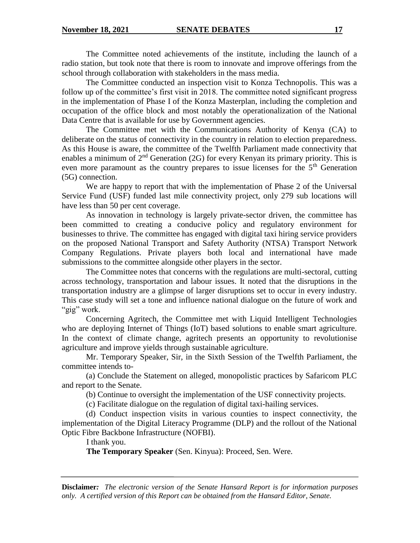The Committee noted achievements of the institute, including the launch of a radio station, but took note that there is room to innovate and improve offerings from the school through collaboration with stakeholders in the mass media.

The Committee conducted an inspection visit to Konza Technopolis. This was a follow up of the committee's first visit in 2018. The committee noted significant progress in the implementation of Phase I of the Konza Masterplan, including the completion and occupation of the office block and most notably the operationalization of the National Data Centre that is available for use by Government agencies.

The Committee met with the Communications Authority of Kenya (CA) to deliberate on the status of connectivity in the country in relation to election preparedness. As this House is aware, the committee of the Twelfth Parliament made connectivity that enables a minimum of  $2<sup>nd</sup>$  Generation (2G) for every Kenyan its primary priority. This is even more paramount as the country prepares to issue licenses for the  $5<sup>th</sup>$  Generation (5G) connection.

We are happy to report that with the implementation of Phase 2 of the Universal Service Fund (USF) funded last mile connectivity project, only 279 sub locations will have less than 50 per cent coverage.

As innovation in technology is largely private-sector driven, the committee has been committed to creating a conducive policy and regulatory environment for businesses to thrive. The committee has engaged with digital taxi hiring service providers on the proposed National Transport and Safety Authority (NTSA) Transport Network Company Regulations. Private players both local and international have made submissions to the committee alongside other players in the sector.

The Committee notes that concerns with the regulations are multi-sectoral, cutting across technology, transportation and labour issues. It noted that the disruptions in the transportation industry are a glimpse of larger disruptions set to occur in every industry. This case study will set a tone and influence national dialogue on the future of work and "gig" work.

Concerning Agritech, the Committee met with Liquid Intelligent Technologies who are deploying Internet of Things (IoT) based solutions to enable smart agriculture. In the context of climate change, agritech presents an opportunity to revolutionise agriculture and improve yields through sustainable agriculture.

Mr. Temporary Speaker, Sir, in the Sixth Session of the Twelfth Parliament, the committee intends to-

(a) Conclude the Statement on alleged, monopolistic practices by Safaricom PLC and report to the Senate.

(b) Continue to oversight the implementation of the USF connectivity projects.

(c) Facilitate dialogue on the regulation of digital taxi-hailing services.

(d) Conduct inspection visits in various counties to inspect connectivity, the implementation of the Digital Literacy Programme (DLP) and the rollout of the National Optic Fibre Backbone Infrastructure (NOFBI).

I thank you.

**The Temporary Speaker** (Sen. Kinyua): Proceed, Sen. Were.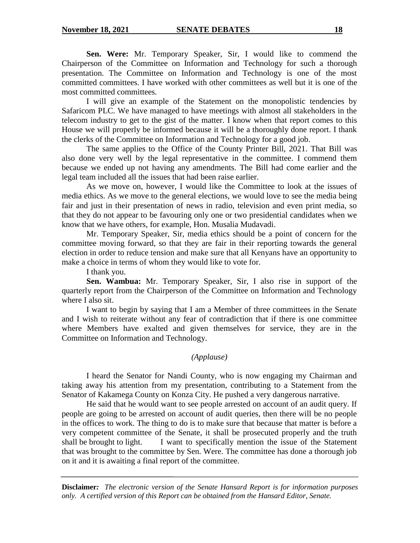**Sen. Were:** Mr. Temporary Speaker, Sir, I would like to commend the Chairperson of the Committee on Information and Technology for such a thorough presentation. The Committee on Information and Technology is one of the most committed committees. I have worked with other committees as well but it is one of the most committed committees.

I will give an example of the Statement on the monopolistic tendencies by Safaricom PLC. We have managed to have meetings with almost all stakeholders in the telecom industry to get to the gist of the matter. I know when that report comes to this House we will properly be informed because it will be a thoroughly done report. I thank the clerks of the Committee on Information and Technology for a good job.

The same applies to the Office of the County Printer Bill, 2021. That Bill was also done very well by the legal representative in the committee. I commend them because we ended up not having any amendments. The Bill had come earlier and the legal team included all the issues that had been raise earlier.

As we move on, however, I would like the Committee to look at the issues of media ethics. As we move to the general elections, we would love to see the media being fair and just in their presentation of news in radio, television and even print media, so that they do not appear to be favouring only one or two presidential candidates when we know that we have others, for example, Hon. Musalia Mudavadi.

Mr. Temporary Speaker, Sir, media ethics should be a point of concern for the committee moving forward, so that they are fair in their reporting towards the general election in order to reduce tension and make sure that all Kenyans have an opportunity to make a choice in terms of whom they would like to vote for.

I thank you.

**Sen. Wambua:** Mr. Temporary Speaker, Sir, I also rise in support of the quarterly report from the Chairperson of the Committee on Information and Technology where I also sit.

I want to begin by saying that I am a Member of three committees in the Senate and I wish to reiterate without any fear of contradiction that if there is one committee where Members have exalted and given themselves for service, they are in the Committee on Information and Technology.

# *(Applause)*

I heard the Senator for Nandi County, who is now engaging my Chairman and taking away his attention from my presentation, contributing to a Statement from the Senator of Kakamega County on Konza City. He pushed a very dangerous narrative.

He said that he would want to see people arrested on account of an audit query. If people are going to be arrested on account of audit queries, then there will be no people in the offices to work. The thing to do is to make sure that because that matter is before a very competent committee of the Senate, it shall be prosecuted properly and the truth shall be brought to light. I want to specifically mention the issue of the Statement that was brought to the committee by Sen. Were. The committee has done a thorough job on it and it is awaiting a final report of the committee.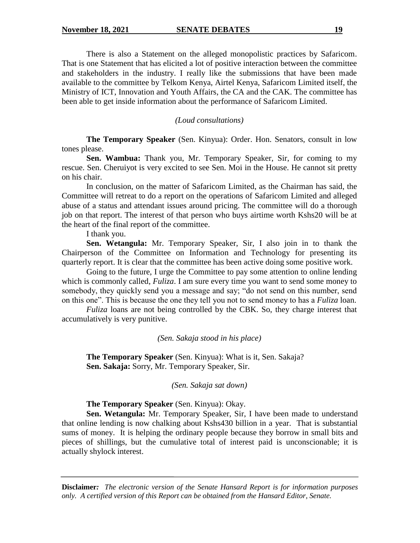There is also a Statement on the alleged monopolistic practices by Safaricom. That is one Statement that has elicited a lot of positive interaction between the committee and stakeholders in the industry. I really like the submissions that have been made available to the committee by Telkom Kenya, Airtel Kenya, Safaricom Limited itself, the Ministry of ICT, Innovation and Youth Affairs, the CA and the CAK. The committee has been able to get inside information about the performance of Safaricom Limited.

*(Loud consultations)*

**The Temporary Speaker** (Sen. Kinyua): Order. Hon. Senators, consult in low tones please.

**Sen. Wambua:** Thank you, Mr. Temporary Speaker, Sir, for coming to my rescue. Sen. Cheruiyot is very excited to see Sen. Moi in the House. He cannot sit pretty on his chair.

In conclusion, on the matter of Safaricom Limited, as the Chairman has said, the Committee will retreat to do a report on the operations of Safaricom Limited and alleged abuse of a status and attendant issues around pricing. The committee will do a thorough job on that report. The interest of that person who buys airtime worth Kshs20 will be at the heart of the final report of the committee.

I thank you.

**Sen. Wetangula:** Mr. Temporary Speaker, Sir, I also join in to thank the Chairperson of the Committee on Information and Technology for presenting its quarterly report. It is clear that the committee has been active doing some positive work.

Going to the future, I urge the Committee to pay some attention to online lending which is commonly called, *Fuliza*. I am sure every time you want to send some money to somebody, they quickly send you a message and say; "do not send on this number, send on this one". This is because the one they tell you not to send money to has a *Fuliza* loan.

*Fuliza* loans are not being controlled by the CBK. So, they charge interest that accumulatively is very punitive.

*(Sen. Sakaja stood in his place)*

**The Temporary Speaker** (Sen. Kinyua): What is it, Sen. Sakaja? **Sen. Sakaja:** Sorry, Mr. Temporary Speaker, Sir.

*(Sen. Sakaja sat down)*

**The Temporary Speaker** (Sen. Kinyua): Okay.

**Sen. Wetangula:** Mr. Temporary Speaker, Sir, I have been made to understand that online lending is now chalking about Kshs430 billion in a year. That is substantial sums of money. It is helping the ordinary people because they borrow in small bits and pieces of shillings, but the cumulative total of interest paid is unconscionable; it is actually shylock interest.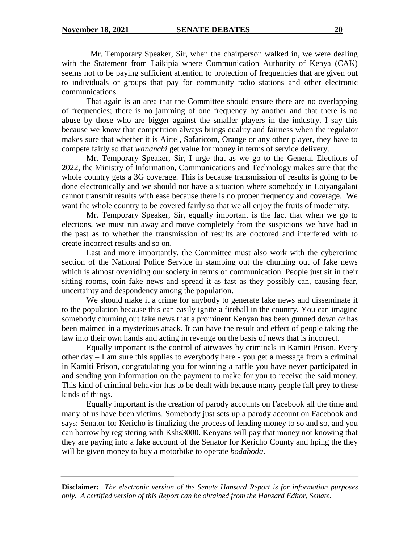Mr. Temporary Speaker, Sir, when the chairperson walked in, we were dealing with the Statement from Laikipia where Communication Authority of Kenya (CAK) seems not to be paying sufficient attention to protection of frequencies that are given out to individuals or groups that pay for community radio stations and other electronic communications.

That again is an area that the Committee should ensure there are no overlapping of frequencies; there is no jamming of one frequency by another and that there is no abuse by those who are bigger against the smaller players in the industry. I say this because we know that competition always brings quality and fairness when the regulator makes sure that whether it is Airtel, Safaricom, Orange or any other player, they have to compete fairly so that *wananchi* get value for money in terms of service delivery.

Mr. Temporary Speaker, Sir, I urge that as we go to the General Elections of 2022, the Ministry of Information, Communications and Technology makes sure that the whole country gets a 3G coverage. This is because transmission of results is going to be done electronically and we should not have a situation where somebody in Loiyangalani cannot transmit results with ease because there is no proper frequency and coverage. We want the whole country to be covered fairly so that we all enjoy the fruits of modernity.

Mr. Temporary Speaker, Sir, equally important is the fact that when we go to elections, we must run away and move completely from the suspicions we have had in the past as to whether the transmission of results are doctored and interfered with to create incorrect results and so on.

Last and more importantly, the Committee must also work with the cybercrime section of the National Police Service in stamping out the churning out of fake news which is almost overriding our society in terms of communication. People just sit in their sitting rooms, coin fake news and spread it as fast as they possibly can, causing fear, uncertainty and despondency among the population.

We should make it a crime for anybody to generate fake news and disseminate it to the population because this can easily ignite a fireball in the country. You can imagine somebody churning out fake news that a prominent Kenyan has been gunned down or has been maimed in a mysterious attack. It can have the result and effect of people taking the law into their own hands and acting in revenge on the basis of news that is incorrect.

Equally important is the control of airwaves by criminals in Kamiti Prison. Every other day – I am sure this applies to everybody here - you get a message from a criminal in Kamiti Prison, congratulating you for winning a raffle you have never participated in and sending you information on the payment to make for you to receive the said money. This kind of criminal behavior has to be dealt with because many people fall prey to these kinds of things.

Equally important is the creation of parody accounts on Facebook all the time and many of us have been victims. Somebody just sets up a parody account on Facebook and says: Senator for Kericho is finalizing the process of lending money to so and so, and you can borrow by registering with Kshs3000. Kenyans will pay that money not knowing that they are paying into a fake account of the Senator for Kericho County and hping the they will be given money to buy a motorbike to operate *bodaboda*.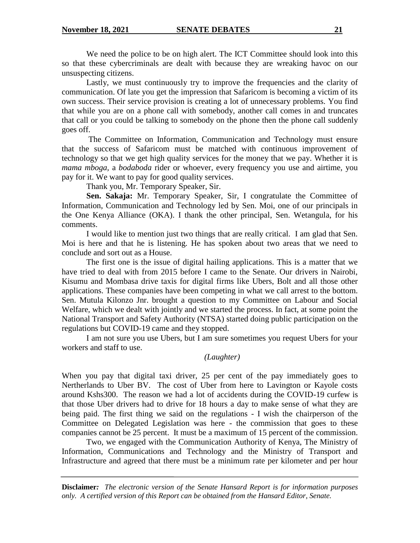We need the police to be on high alert. The ICT Committee should look into this so that these cybercriminals are dealt with because they are wreaking havoc on our unsuspecting citizens.

Lastly, we must continuously try to improve the frequencies and the clarity of communication. Of late you get the impression that Safaricom is becoming a victim of its own success. Their service provision is creating a lot of unnecessary problems. You find that while you are on a phone call with somebody, another call comes in and truncates that call or you could be talking to somebody on the phone then the phone call suddenly goes off.

The Committee on Information, Communication and Technology must ensure that the success of Safaricom must be matched with continuous improvement of technology so that we get high quality services for the money that we pay. Whether it is *mama mboga,* a *bodaboda* rider or whoever, every frequency you use and airtime, you pay for it. We want to pay for good quality services.

Thank you, Mr. Temporary Speaker, Sir.

**Sen. Sakaja:** Mr. Temporary Speaker, Sir, I congratulate the Committee of Information, Communication and Technology led by Sen. Moi, one of our principals in the One Kenya Alliance (OKA). I thank the other principal, Sen. Wetangula, for his comments.

I would like to mention just two things that are really critical. I am glad that Sen. Moi is here and that he is listening. He has spoken about two areas that we need to conclude and sort out as a House.

The first one is the issue of digital hailing applications. This is a matter that we have tried to deal with from 2015 before I came to the Senate. Our drivers in Nairobi, Kisumu and Mombasa drive taxis for digital firms like Ubers, Bolt and all those other applications. These companies have been competing in what we call arrest to the bottom. Sen. Mutula Kilonzo Jnr. brought a question to my Committee on Labour and Social Welfare, which we dealt with jointly and we started the process. In fact, at some point the National Transport and Safety Authority (NTSA) started doing public participation on the regulations but COVID-19 came and they stopped.

I am not sure you use Ubers, but I am sure sometimes you request Ubers for your workers and staff to use.

# *(Laughter)*

When you pay that digital taxi driver, 25 per cent of the pay immediately goes to Nertherlands to Uber BV. The cost of Uber from here to Lavington or Kayole costs around Kshs300. The reason we had a lot of accidents during the COVID-19 curfew is that those Uber drivers had to drive for 18 hours a day to make sense of what they are being paid. The first thing we said on the regulations - I wish the chairperson of the Committee on Delegated Legislation was here - the commission that goes to these companies cannot be 25 percent. It must be a maximum of 15 percent of the commission.

Two, we engaged with the Communication Authority of Kenya, The Ministry of Information, Communications and Technology and the Ministry of Transport and Infrastructure and agreed that there must be a minimum rate per kilometer and per hour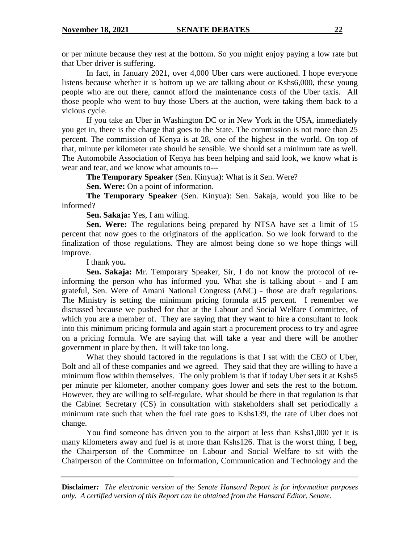or per minute because they rest at the bottom. So you might enjoy paying a low rate but that Uber driver is suffering.

In fact, in January 2021, over 4,000 Uber cars were auctioned. I hope everyone listens because whether it is bottom up we are talking about or Kshs6,000, these young people who are out there, cannot afford the maintenance costs of the Uber taxis. All those people who went to buy those Ubers at the auction, were taking them back to a vicious cycle.

If you take an Uber in Washington DC or in New York in the USA, immediately you get in, there is the charge that goes to the State. The commission is not more than 25 percent. The commission of Kenya is at 28, one of the highest in the world. On top of that, minute per kilometer rate should be sensible. We should set a minimum rate as well. The Automobile Association of Kenya has been helping and said look, we know what is wear and tear, and we know what amounts to---

**The Temporary Speaker** (Sen. Kinyua): What is it Sen. Were?

**Sen. Were:** On a point of information.

**The Temporary Speaker** (Sen. Kinyua): Sen. Sakaja, would you like to be informed?

**Sen. Sakaja:** Yes, I am wiling.

**Sen. Were:** The regulations being prepared by NTSA have set a limit of 15 percent that now goes to the originators of the application. So we look forward to the finalization of those regulations. They are almost being done so we hope things will improve.

I thank you**.**

**Sen. Sakaja:** Mr. Temporary Speaker, Sir, I do not know the protocol of reinforming the person who has informed you. What she is talking about - and I am grateful, Sen. Were of Amani National Congress (ANC) - those are draft regulations. The Ministry is setting the minimum pricing formula at15 percent. I remember we discussed because we pushed for that at the Labour and Social Welfare Committee, of which you are a member of. They are saying that they want to hire a consultant to look into this minimum pricing formula and again start a procurement process to try and agree on a pricing formula. We are saying that will take a year and there will be another government in place by then. It will take too long.

What they should factored in the regulations is that I sat with the CEO of Uber, Bolt and all of these companies and we agreed. They said that they are willing to have a minimum flow within themselves. The only problem is that if today Uber sets it at Kshs5 per minute per kilometer, another company goes lower and sets the rest to the bottom. However, they are willing to self-regulate. What should be there in that regulation is that the Cabinet Secretary (CS) in consultation with stakeholders shall set periodically a minimum rate such that when the fuel rate goes to Kshs139, the rate of Uber does not change.

You find someone has driven you to the airport at less than Kshs1,000 yet it is many kilometers away and fuel is at more than Kshs126. That is the worst thing. I beg, the Chairperson of the Committee on Labour and Social Welfare to sit with the Chairperson of the Committee on Information, Communication and Technology and the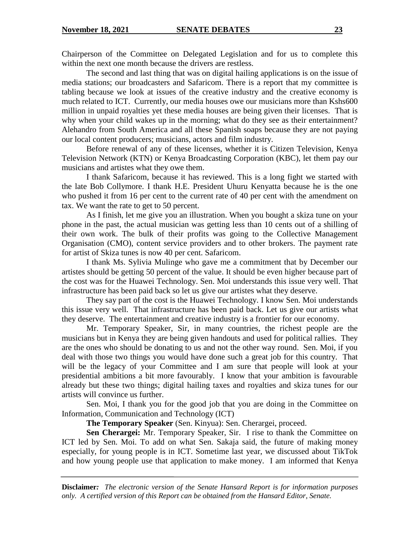Chairperson of the Committee on Delegated Legislation and for us to complete this within the next one month because the drivers are restless.

The second and last thing that was on digital hailing applications is on the issue of media stations; our broadcasters and Safaricom. There is a report that my committee is tabling because we look at issues of the creative industry and the creative economy is much related to ICT. Currently, our media houses owe our musicians more than Kshs600 million in unpaid royalties yet these media houses are being given their licenses. That is why when your child wakes up in the morning; what do they see as their entertainment? Alehandro from South America and all these Spanish soaps because they are not paying our local content producers; musicians, actors and film industry.

Before renewal of any of these licenses, whether it is Citizen Television, Kenya Television Network (KTN) or Kenya Broadcasting Corporation (KBC), let them pay our musicians and artistes what they owe them.

I thank Safaricom, because it has reviewed. This is a long fight we started with the late Bob Collymore. I thank H.E. President Uhuru Kenyatta because he is the one who pushed it from 16 per cent to the current rate of 40 per cent with the amendment on tax. We want the rate to get to 50 percent.

As I finish, let me give you an illustration. When you bought a skiza tune on your phone in the past, the actual musician was getting less than 10 cents out of a shilling of their own work. The bulk of their profits was going to the Collective Management Organisation (CMO), content service providers and to other brokers. The payment rate for artist of Skiza tunes is now 40 per cent. Safaricom.

I thank Ms. Sylivia Mulinge who gave me a commitment that by December our artistes should be getting 50 percent of the value. It should be even higher because part of the cost was for the Huawei Technology. Sen. Moi understands this issue very well. That infrastructure has been paid back so let us give our artistes what they deserve.

They say part of the cost is the Huawei Technology. I know Sen. Moi understands this issue very well. That infrastructure has been paid back. Let us give our artists what they deserve. The entertainment and creative industry is a frontier for our economy.

Mr. Temporary Speaker, Sir, in many countries, the richest people are the musicians but in Kenya they are being given handouts and used for political rallies. They are the ones who should be donating to us and not the other way round. Sen. Moi, if you deal with those two things you would have done such a great job for this country. That will be the legacy of your Committee and I am sure that people will look at your presidential ambitions a bit more favourably. I know that your ambition is favourable already but these two things; digital hailing taxes and royalties and skiza tunes for our artists will convince us further.

Sen. Moi, I thank you for the good job that you are doing in the Committee on Information, Communication and Technology (ICT)

**The Temporary Speaker** (Sen. Kinyua): Sen. Cherargei, proceed.

**Sen Cherargei:** Mr. Temporary Speaker, Sir. I rise to thank the Committee on ICT led by Sen. Moi. To add on what Sen. Sakaja said, the future of making money especially, for young people is in ICT. Sometime last year, we discussed about TikTok and how young people use that application to make money. I am informed that Kenya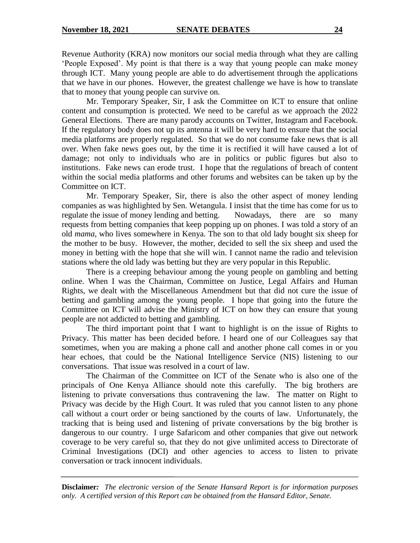Revenue Authority (KRA) now monitors our social media through what they are calling 'People Exposed'. My point is that there is a way that young people can make money through ICT. Many young people are able to do advertisement through the applications that we have in our phones. However, the greatest challenge we have is how to translate that to money that young people can survive on.

Mr. Temporary Speaker, Sir, I ask the Committee on ICT to ensure that online content and consumption is protected. We need to be careful as we approach the 2022 General Elections. There are many parody accounts on Twitter, Instagram and Facebook. If the regulatory body does not up its antenna it will be very hard to ensure that the social media platforms are properly regulated. So that we do not consume fake news that is all over. When fake news goes out, by the time it is rectified it will have caused a lot of damage; not only to individuals who are in politics or public figures but also to institutions. Fake news can erode trust. I hope that the regulations of breach of content within the social media platforms and other forums and websites can be taken up by the Committee on ICT.

Mr. Temporary Speaker, Sir, there is also the other aspect of money lending companies as was highlighted by Sen. Wetangula. I insist that the time has come for us to regulate the issue of money lending and betting. Nowadays, there are so many requests from betting companies that keep popping up on phones. I was told a story of an old *mama,* who lives somewhere in Kenya. The son to that old lady bought six sheep for the mother to be busy. However, the mother, decided to sell the six sheep and used the money in betting with the hope that she will win. I cannot name the radio and television stations where the old lady was betting but they are very popular in this Republic.

There is a creeping behaviour among the young people on gambling and betting online. When I was the Chairman, Committee on Justice, Legal Affairs and Human Rights, we dealt with the Miscellaneous Amendment but that did not cure the issue of betting and gambling among the young people. I hope that going into the future the Committee on ICT will advise the Ministry of ICT on how they can ensure that young people are not addicted to betting and gambling.

The third important point that I want to highlight is on the issue of Rights to Privacy. This matter has been decided before. I heard one of our Colleagues say that sometimes, when you are making a phone call and another phone call comes in or you hear echoes, that could be the National Intelligence Service (NIS) listening to our conversations. That issue was resolved in a court of law.

The Chairman of the Committee on ICT of the Senate who is also one of the principals of One Kenya Alliance should note this carefully. The big brothers are listening to private conversations thus contravening the law. The matter on Right to Privacy was decide by the High Court. It was ruled that you cannot listen to any phone call without a court order or being sanctioned by the courts of law. Unfortunately, the tracking that is being used and listening of private conversations by the big brother is dangerous to our country. I urge Safaricom and other companies that give out network coverage to be very careful so, that they do not give unlimited access to Directorate of Criminal Investigations (DCI) and other agencies to access to listen to private conversation or track innocent individuals.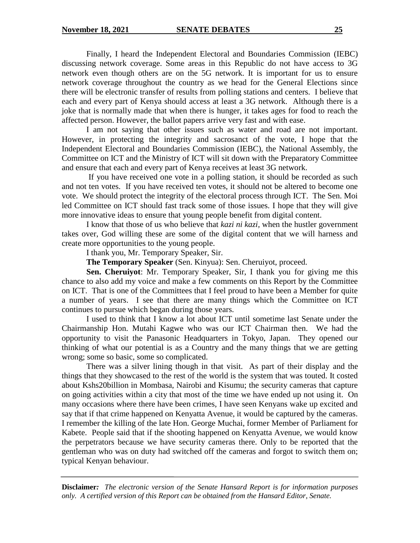Finally, I heard the Independent Electoral and Boundaries Commission (IEBC) discussing network coverage. Some areas in this Republic do not have access to 3G network even though others are on the 5G network. It is important for us to ensure network coverage throughout the country as we head for the General Elections since there will be electronic transfer of results from polling stations and centers. I believe that each and every part of Kenya should access at least a 3G network. Although there is a joke that is normally made that when there is hunger, it takes ages for food to reach the affected person. However, the ballot papers arrive very fast and with ease.

I am not saying that other issues such as water and road are not important. However, in protecting the integrity and sacrosanct of the vote, I hope that the Independent Electoral and Boundaries Commission (IEBC), the National Assembly, the Committee on ICT and the Ministry of ICT will sit down with the Preparatory Committee and ensure that each and every part of Kenya receives at least 3G network.

If you have received one vote in a polling station, it should be recorded as such and not ten votes. If you have received ten votes, it should not be altered to become one vote. We should protect the integrity of the electoral process through ICT. The Sen. Moi led Committee on ICT should fast track some of those issues. I hope that they will give more innovative ideas to ensure that young people benefit from digital content.

I know that those of us who believe that *kazi ni kazi,* when the hustler government takes over, God willing these are some of the digital content that we will harness and create more opportunities to the young people.

I thank you, Mr. Temporary Speaker, Sir.

**The Temporary Speaker** (Sen. Kinyua): Sen. Cheruiyot, proceed.

**Sen. Cheruiyot**: Mr. Temporary Speaker, Sir, I thank you for giving me this chance to also add my voice and make a few comments on this Report by the Committee on ICT. That is one of the Committees that I feel proud to have been a Member for quite a number of years. I see that there are many things which the Committee on ICT continues to pursue which began during those years.

I used to think that I know a lot about ICT until sometime last Senate under the Chairmanship Hon. Mutahi Kagwe who was our ICT Chairman then. We had the opportunity to visit the Panasonic Headquarters in Tokyo, Japan. They opened our thinking of what our potential is as a Country and the many things that we are getting wrong; some so basic, some so complicated.

There was a silver lining though in that visit. As part of their display and the things that they showcased to the rest of the world is the system that was touted. It costed about Kshs20billion in Mombasa, Nairobi and Kisumu; the security cameras that capture on going activities within a city that most of the time we have ended up not using it. On many occasions where there have been crimes, I have seen Kenyans wake up excited and say that if that crime happened on Kenyatta Avenue, it would be captured by the cameras. I remember the killing of the late Hon. George Muchai, former Member of Parliament for Kabete. People said that if the shooting happened on Kenyatta Avenue, we would know the perpetrators because we have security cameras there. Only to be reported that the gentleman who was on duty had switched off the cameras and forgot to switch them on; typical Kenyan behaviour.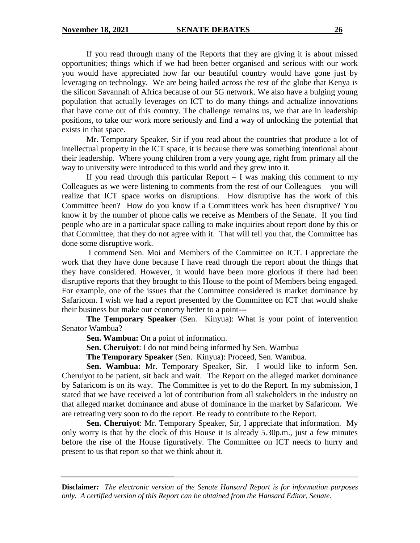If you read through many of the Reports that they are giving it is about missed opportunities; things which if we had been better organised and serious with our work you would have appreciated how far our beautiful country would have gone just by leveraging on technology. We are being hailed across the rest of the globe that Kenya is the silicon Savannah of Africa because of our 5G network. We also have a bulging young population that actually leverages on ICT to do many things and actualize innovations that have come out of this country. The challenge remains us, we that are in leadership positions, to take our work more seriously and find a way of unlocking the potential that exists in that space.

Mr. Temporary Speaker, Sir if you read about the countries that produce a lot of intellectual property in the ICT space, it is because there was something intentional about their leadership. Where young children from a very young age, right from primary all the way to university were introduced to this world and they grew into it.

If you read through this particular Report  $- I$  was making this comment to my Colleagues as we were listening to comments from the rest of our Colleagues – you will realize that ICT space works on disruptions. How disruptive has the work of this Committee been? How do you know if a Committees work has been disruptive? You know it by the number of phone calls we receive as Members of the Senate. If you find people who are in a particular space calling to make inquiries about report done by this or that Committee, that they do not agree with it. That will tell you that, the Committee has done some disruptive work.

I commend Sen. Moi and Members of the Committee on ICT. I appreciate the work that they have done because I have read through the report about the things that they have considered. However, it would have been more glorious if there had been disruptive reports that they brought to this House to the point of Members being engaged. For example, one of the issues that the Committee considered is market dominance by Safaricom. I wish we had a report presented by the Committee on ICT that would shake their business but make our economy better to a point---

**The Temporary Speaker** (Sen. Kinyua): What is your point of intervention Senator Wambua?

**Sen. Wambua:** On a point of information.

**Sen. Cheruiyot**: I do not mind being informed by Sen. Wambua

**The Temporary Speaker** (Sen. Kinyua): Proceed, Sen. Wambua.

**Sen. Wambua:** Mr. Temporary Speaker, Sir. I would like to inform Sen. Cheruiyot to be patient, sit back and wait. The Report on the alleged market dominance by Safaricom is on its way. The Committee is yet to do the Report. In my submission, I stated that we have received a lot of contribution from all stakeholders in the industry on that alleged market dominance and abuse of dominance in the market by Safaricom. We are retreating very soon to do the report. Be ready to contribute to the Report.

**Sen. Cheruiyot**: Mr. Temporary Speaker, Sir, I appreciate that information. My only worry is that by the clock of this House it is already 5.30p.m., just a few minutes before the rise of the House figuratively. The Committee on ICT needs to hurry and present to us that report so that we think about it.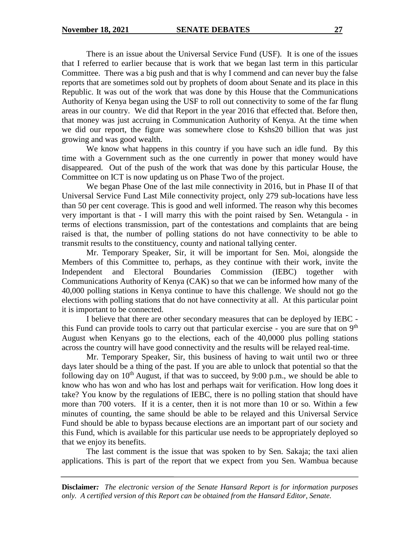There is an issue about the Universal Service Fund (USF). It is one of the issues that I referred to earlier because that is work that we began last term in this particular Committee. There was a big push and that is why I commend and can never buy the false reports that are sometimes sold out by prophets of doom about Senate and its place in this Republic. It was out of the work that was done by this House that the Communications Authority of Kenya began using the USF to roll out connectivity to some of the far flung areas in our country. We did that Report in the year 2016 that effected that. Before then, that money was just accruing in Communication Authority of Kenya. At the time when we did our report, the figure was somewhere close to Kshs20 billion that was just growing and was good wealth.

We know what happens in this country if you have such an idle fund. By this time with a Government such as the one currently in power that money would have disappeared. Out of the push of the work that was done by this particular House, the Committee on ICT is now updating us on Phase Two of the project.

We began Phase One of the last mile connectivity in 2016, but in Phase II of that Universal Service Fund Last Mile connectivity project, only 279 sub-locations have less than 50 per cent coverage. This is good and well informed. The reason why this becomes very important is that - I will marry this with the point raised by Sen. Wetangula - in terms of elections transmission, part of the contestations and complaints that are being raised is that, the number of polling stations do not have connectivity to be able to transmit results to the constituency, county and national tallying center.

Mr. Temporary Speaker, Sir, it will be important for Sen. Moi, alongside the Members of this Committee to, perhaps, as they continue with their work, invite the Independent and Electoral Boundaries Commission (IEBC) together with Communications Authority of Kenya (CAK) so that we can be informed how many of the 40,000 polling stations in Kenya continue to have this challenge. We should not go the elections with polling stations that do not have connectivity at all. At this particular point it is important to be connected.

I believe that there are other secondary measures that can be deployed by IEBC this Fund can provide tools to carry out that particular exercise - you are sure that on  $9<sup>th</sup>$ August when Kenyans go to the elections, each of the 40,0000 plus polling stations across the country will have good connectivity and the results will be relayed real-time.

Mr. Temporary Speaker, Sir, this business of having to wait until two or three days later should be a thing of the past. If you are able to unlock that potential so that the following day on  $10^{th}$  August, if that was to succeed, by 9:00 p.m., we should be able to know who has won and who has lost and perhaps wait for verification. How long does it take? You know by the regulations of IEBC, there is no polling station that should have more than 700 voters. If it is a center, then it is not more than 10 or so. Within a few minutes of counting, the same should be able to be relayed and this Universal Service Fund should be able to bypass because elections are an important part of our society and this Fund, which is available for this particular use needs to be appropriately deployed so that we enjoy its benefits.

The last comment is the issue that was spoken to by Sen. Sakaja; the taxi alien applications. This is part of the report that we expect from you Sen. Wambua because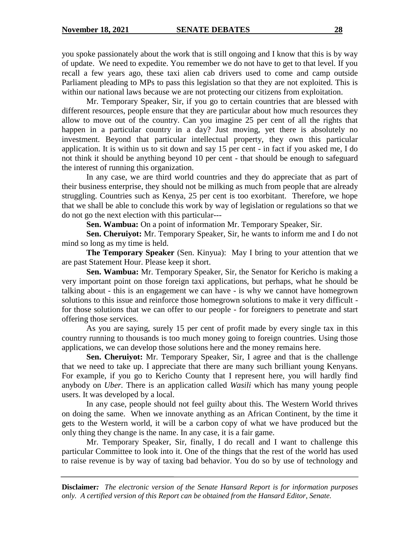you spoke passionately about the work that is still ongoing and I know that this is by way of update. We need to expedite. You remember we do not have to get to that level. If you recall a few years ago, these taxi alien cab drivers used to come and camp outside Parliament pleading to MPs to pass this legislation so that they are not exploited. This is within our national laws because we are not protecting our citizens from exploitation.

Mr. Temporary Speaker, Sir, if you go to certain countries that are blessed with different resources, people ensure that they are particular about how much resources they allow to move out of the country. Can you imagine 25 per cent of all the rights that happen in a particular country in a day? Just moving, yet there is absolutely no investment. Beyond that particular intellectual property, they own this particular application. It is within us to sit down and say 15 per cent - in fact if you asked me, I do not think it should be anything beyond 10 per cent - that should be enough to safeguard the interest of running this organization.

In any case, we are third world countries and they do appreciate that as part of their business enterprise, they should not be milking as much from people that are already struggling. Countries such as Kenya, 25 per cent is too exorbitant. Therefore, we hope that we shall be able to conclude this work by way of legislation or regulations so that we do not go the next election with this particular---

**Sen. Wambua:** On a point of information Mr. Temporary Speaker, Sir.

**Sen. Cheruiyot:** Mr. Temporary Speaker, Sir, he wants to inform me and I do not mind so long as my time is held.

**The Temporary Speaker** (Sen. Kinyua): May I bring to your attention that we are past Statement Hour. Please keep it short.

**Sen. Wambua:** Mr. Temporary Speaker, Sir, the Senator for Kericho is making a very important point on those foreign taxi applications, but perhaps, what he should be talking about - this is an engagement we can have - is why we cannot have homegrown solutions to this issue and reinforce those homegrown solutions to make it very difficult for those solutions that we can offer to our people - for foreigners to penetrate and start offering those services.

As you are saying, surely 15 per cent of profit made by every single tax in this country running to thousands is too much money going to foreign countries. Using those applications, we can develop those solutions here and the money remains here.

**Sen. Cheruiyot:** Mr. Temporary Speaker, Sir, I agree and that is the challenge that we need to take up. I appreciate that there are many such brilliant young Kenyans. For example, if you go to Kericho County that I represent here, you will hardly find anybody on *Uber.* There is an application called *Wasili* which has many young people users. It was developed by a local.

In any case, people should not feel guilty about this. The Western World thrives on doing the same. When we innovate anything as an African Continent, by the time it gets to the Western world, it will be a carbon copy of what we have produced but the only thing they change is the name. In any case, it is a fair game.

Mr. Temporary Speaker, Sir, finally, I do recall and I want to challenge this particular Committee to look into it. One of the things that the rest of the world has used to raise revenue is by way of taxing bad behavior. You do so by use of technology and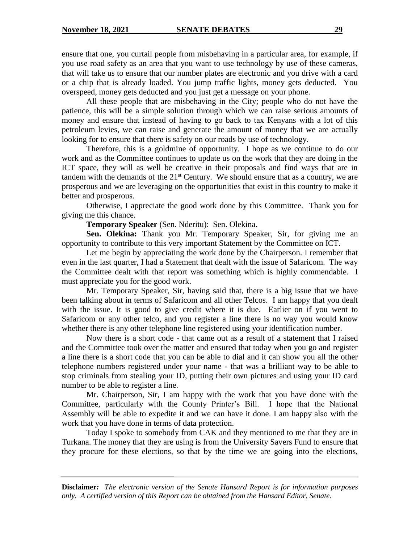ensure that one, you curtail people from misbehaving in a particular area, for example, if you use road safety as an area that you want to use technology by use of these cameras, that will take us to ensure that our number plates are electronic and you drive with a card or a chip that is already loaded. You jump traffic lights, money gets deducted. You overspeed, money gets deducted and you just get a message on your phone.

All these people that are misbehaving in the City; people who do not have the patience, this will be a simple solution through which we can raise serious amounts of money and ensure that instead of having to go back to tax Kenyans with a lot of this petroleum levies, we can raise and generate the amount of money that we are actually looking for to ensure that there is safety on our roads by use of technology.

Therefore, this is a goldmine of opportunity. I hope as we continue to do our work and as the Committee continues to update us on the work that they are doing in the ICT space, they will as well be creative in their proposals and find ways that are in tandem with the demands of the  $21<sup>st</sup>$  Century. We should ensure that as a country, we are prosperous and we are leveraging on the opportunities that exist in this country to make it better and prosperous.

Otherwise, I appreciate the good work done by this Committee. Thank you for giving me this chance.

**Temporary Speaker** (Sen. Nderitu): Sen. Olekina.

 **Sen. Olekina:** Thank you Mr. Temporary Speaker, Sir, for giving me an opportunity to contribute to this very important Statement by the Committee on ICT.

Let me begin by appreciating the work done by the Chairperson. I remember that even in the last quarter, I had a Statement that dealt with the issue of Safaricom. The way the Committee dealt with that report was something which is highly commendable. I must appreciate you for the good work.

Mr. Temporary Speaker, Sir, having said that, there is a big issue that we have been talking about in terms of Safaricom and all other Telcos. I am happy that you dealt with the issue. It is good to give credit where it is due. Earlier on if you went to Safaricom or any other telco, and you register a line there is no way you would know whether there is any other telephone line registered using your identification number.

Now there is a short code - that came out as a result of a statement that I raised and the Committee took over the matter and ensured that today when you go and register a line there is a short code that you can be able to dial and it can show you all the other telephone numbers registered under your name - that was a brilliant way to be able to stop criminals from stealing your ID, putting their own pictures and using your ID card number to be able to register a line.

Mr. Chairperson, Sir, I am happy with the work that you have done with the Committee, particularly with the County Printer's Bill. I hope that the National Assembly will be able to expedite it and we can have it done. I am happy also with the work that you have done in terms of data protection.

Today I spoke to somebody from CAK and they mentioned to me that they are in Turkana. The money that they are using is from the University Savers Fund to ensure that they procure for these elections, so that by the time we are going into the elections,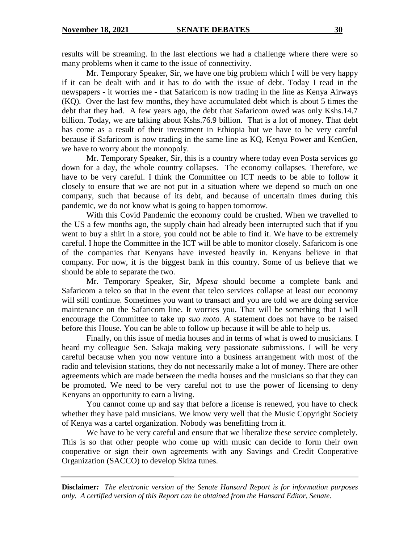results will be streaming. In the last elections we had a challenge where there were so many problems when it came to the issue of connectivity.

Mr. Temporary Speaker, Sir, we have one big problem which I will be very happy if it can be dealt with and it has to do with the issue of debt. Today I read in the newspapers - it worries me - that Safaricom is now trading in the line as Kenya Airways (KQ). Over the last few months, they have accumulated debt which is about 5 times the debt that they had. A few years ago, the debt that Safaricom owed was only Kshs.14.7 billion. Today, we are talking about Kshs.76.9 billion. That is a lot of money. That debt has come as a result of their investment in Ethiopia but we have to be very careful because if Safaricom is now trading in the same line as KQ, Kenya Power and KenGen, we have to worry about the monopoly.

Mr. Temporary Speaker, Sir, this is a country where today even Posta services go down for a day, the whole country collapses. The economy collapses. Therefore, we have to be very careful. I think the Committee on ICT needs to be able to follow it closely to ensure that we are not put in a situation where we depend so much on one company, such that because of its debt, and because of uncertain times during this pandemic, we do not know what is going to happen tomorrow.

With this Covid Pandemic the economy could be crushed. When we travelled to the US a few months ago, the supply chain had already been interrupted such that if you went to buy a shirt in a store, you could not be able to find it. We have to be extremely careful. I hope the Committee in the ICT will be able to monitor closely. Safaricom is one of the companies that Kenyans have invested heavily in. Kenyans believe in that company. For now, it is the biggest bank in this country. Some of us believe that we should be able to separate the two.

Mr. Temporary Speaker, Sir, *Mpesa* should become a complete bank and Safaricom a telco so that in the event that telco services collapse at least our economy will still continue. Sometimes you want to transact and you are told we are doing service maintenance on the Safaricom line. It worries you. That will be something that I will encourage the Committee to take up *suo moto.* A statement does not have to be raised before this House. You can be able to follow up because it will be able to help us.

Finally, on this issue of media houses and in terms of what is owed to musicians. I heard my colleague Sen. Sakaja making very passionate submissions. I will be very careful because when you now venture into a business arrangement with most of the radio and television stations, they do not necessarily make a lot of money. There are other agreements which are made between the media houses and the musicians so that they can be promoted. We need to be very careful not to use the power of licensing to deny Kenyans an opportunity to earn a living.

You cannot come up and say that before a license is renewed, you have to check whether they have paid musicians. We know very well that the Music Copyright Society of Kenya was a cartel organization. Nobody was benefitting from it.

We have to be very careful and ensure that we liberalize these service completely. This is so that other people who come up with music can decide to form their own cooperative or sign their own agreements with any Savings and Credit Cooperative Organization (SACCO) to develop Skiza tunes.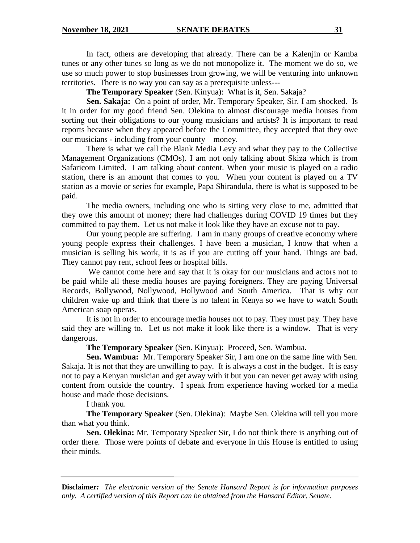In fact, others are developing that already. There can be a Kalenjin or Kamba tunes or any other tunes so long as we do not monopolize it. The moment we do so, we use so much power to stop businesses from growing, we will be venturing into unknown territories. There is no way you can say as a prerequisite unless---

**The Temporary Speaker** (Sen. Kinyua): What is it, Sen. Sakaja?

**Sen. Sakaja:** On a point of order, Mr. Temporary Speaker, Sir. I am shocked. Is it in order for my good friend Sen. Olekina to almost discourage media houses from sorting out their obligations to our young musicians and artists? It is important to read reports because when they appeared before the Committee, they accepted that they owe our musicians - including from your county – money.

There is what we call the Blank Media Levy and what they pay to the Collective Management Organizations (CMOs). I am not only talking about Skiza which is from Safaricom Limited. I am talking about content. When your music is played on a radio station, there is an amount that comes to you. When your content is played on a TV station as a movie or series for example, Papa Shirandula*,* there is what is supposed to be paid.

The media owners, including one who is sitting very close to me, admitted that they owe this amount of money; there had challenges during COVID 19 times but they committed to pay them. Let us not make it look like they have an excuse not to pay.

Our young people are suffering. I am in many groups of creative economy where young people express their challenges. I have been a musician, I know that when a musician is selling his work, it is as if you are cutting off your hand. Things are bad. They cannot pay rent, school fees or hospital bills.

We cannot come here and say that it is okay for our musicians and actors not to be paid while all these media houses are paying foreigners. They are paying Universal Records, Bollywood, Nollywood, Hollywood and South America. That is why our children wake up and think that there is no talent in Kenya so we have to watch South American soap operas.

It is not in order to encourage media houses not to pay. They must pay. They have said they are willing to. Let us not make it look like there is a window. That is very dangerous.

**The Temporary Speaker** (Sen. Kinyua): Proceed, Sen. Wambua.

**Sen. Wambua:** Mr. Temporary Speaker Sir, I am one on the same line with Sen. Sakaja. It is not that they are unwilling to pay. It is always a cost in the budget. It is easy not to pay a Kenyan musician and get away with it but you can never get away with using content from outside the country. I speak from experience having worked for a media house and made those decisions.

I thank you.

**The Temporary Speaker** (Sen. Olekina): Maybe Sen. Olekina will tell you more than what you think.

**Sen. Olekina:** Mr. Temporary Speaker Sir, I do not think there is anything out of order there. Those were points of debate and everyone in this House is entitled to using their minds.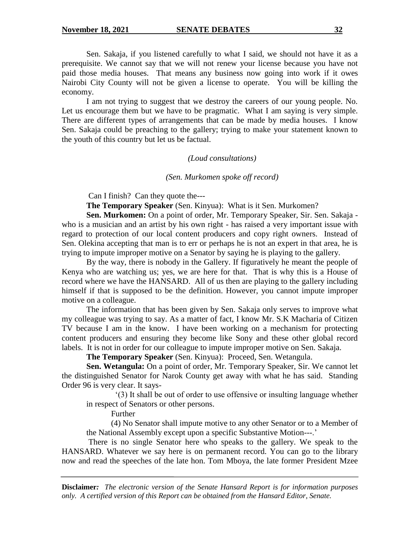Sen. Sakaja, if you listened carefully to what I said, we should not have it as a prerequisite. We cannot say that we will not renew your license because you have not paid those media houses. That means any business now going into work if it owes Nairobi City County will not be given a license to operate. You will be killing the economy.

I am not trying to suggest that we destroy the careers of our young people. No. Let us encourage them but we have to be pragmatic. What I am saying is very simple. There are different types of arrangements that can be made by media houses. I know Sen. Sakaja could be preaching to the gallery; trying to make your statement known to the youth of this country but let us be factual.

### *(Loud consultations)*

#### *(Sen. Murkomen spoke off record)*

Can I finish? Can they quote the---

**The Temporary Speaker** (Sen. Kinyua): What is it Sen. Murkomen?

**Sen. Murkomen:** On a point of order, Mr. Temporary Speaker, Sir. Sen. Sakaja who is a musician and an artist by his own right - has raised a very important issue with regard to protection of our local content producers and copy right owners. Instead of Sen. Olekina accepting that man is to err or perhaps he is not an expert in that area, he is trying to impute improper motive on a Senator by saying he is playing to the gallery.

By the way, there is nobody in the Gallery. If figuratively he meant the people of Kenya who are watching us; yes, we are here for that. That is why this is a House of record where we have the HANSARD. All of us then are playing to the gallery including himself if that is supposed to be the definition. However, you cannot impute improper motive on a colleague.

The information that has been given by Sen. Sakaja only serves to improve what my colleague was trying to say. As a matter of fact, I know Mr. S.K Macharia of Citizen TV because I am in the know. I have been working on a mechanism for protecting content producers and ensuring they become like Sony and these other global record labels. It is not in order for our colleague to impute improper motive on Sen. Sakaja.

**The Temporary Speaker** (Sen. Kinyua): Proceed, Sen. Wetangula.

**Sen. Wetangula:** On a point of order, Mr. Temporary Speaker, Sir. We cannot let the distinguished Senator for Narok County get away with what he has said. Standing Order 96 is very clear. It says-

 '(3) It shall be out of order to use offensive or insulting language whether in respect of Senators or other persons.

Further

(4) No Senator shall impute motive to any other Senator or to a Member of the National Assembly except upon a specific Substantive Motion---.'

There is no single Senator here who speaks to the gallery. We speak to the HANSARD. Whatever we say here is on permanent record. You can go to the library now and read the speeches of the late hon. Tom Mboya, the late former President Mzee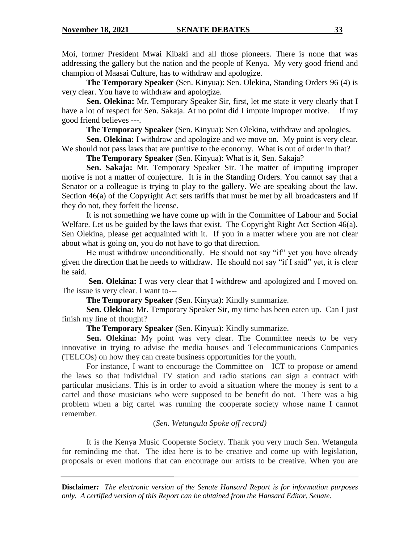Moi, former President Mwai Kibaki and all those pioneers. There is none that was addressing the gallery but the nation and the people of Kenya. My very good friend and champion of Maasai Culture, has to withdraw and apologize.

**The Temporary Speaker** (Sen. Kinyua): Sen. Olekina, Standing Orders 96 (4) is very clear. You have to withdraw and apologize.

**Sen. Olekina:** Mr. Temporary Speaker Sir, first, let me state it very clearly that I have a lot of respect for Sen. Sakaja. At no point did I impute improper motive. If my good friend believes ---.

**The Temporary Speaker** (Sen. Kinyua): Sen Olekina, withdraw and apologies.

**Sen. Olekina:** I withdraw and apologize and we move on. My point is very clear. We should not pass laws that are punitive to the economy. What is out of order in that?

**The Temporary Speaker** (Sen. Kinyua): What is it, Sen. Sakaja?

**Sen. Sakaja:** Mr. Temporary Speaker Sir. The matter of imputing improper motive is not a matter of conjecture. It is in the Standing Orders. You cannot say that a Senator or a colleague is trying to play to the gallery. We are speaking about the law. Section 46(a) of the Copyright Act sets tariffs that must be met by all broadcasters and if they do not, they forfeit the license.

It is not something we have come up with in the Committee of Labour and Social Welfare. Let us be guided by the laws that exist. The Copyright Right Act Section 46(a). Sen Olekina, please get acquainted with it. If you in a matter where you are not clear about what is going on, you do not have to go that direction.

He must withdraw unconditionally. He should not say "if" yet you have already given the direction that he needs to withdraw. He should not say "if I said" yet, it is clear he said.

**Sen. Olekina:** I was very clear that I withdrew and apologized and I moved on. The issue is very clear. I want to---

**The Temporary Speaker** (Sen. Kinyua): Kindly summarize.

**Sen. Olekina:** Mr. Temporary Speaker Sir, my time has been eaten up. Can I just finish my line of thought?

**The Temporary Speaker** (Sen. Kinyua): Kindly summarize.

Sen. Olekina: My point was very clear. The Committee needs to be very innovative in trying to advise the media houses and Telecommunications Companies (TELCOs) on how they can create business opportunities for the youth.

For instance, I want to encourage the Committee on ICT to propose or amend the laws so that individual TV station and radio stations can sign a contract with particular musicians. This is in order to avoid a situation where the money is sent to a cartel and those musicians who were supposed to be benefit do not. There was a big problem when a big cartel was running the cooperate society whose name I cannot remember.

(*Sen. Wetangula Spoke off record)*

It is the Kenya Music Cooperate Society. Thank you very much Sen. Wetangula for reminding me that. The idea here is to be creative and come up with legislation, proposals or even motions that can encourage our artists to be creative. When you are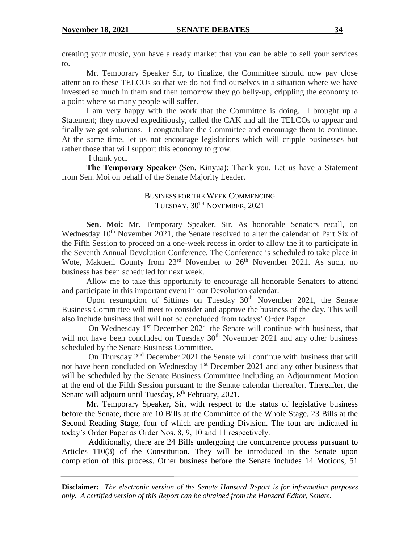creating your music, you have a ready market that you can be able to sell your services to.

Mr. Temporary Speaker Sir, to finalize, the Committee should now pay close attention to these TELCOs so that we do not find ourselves in a situation where we have invested so much in them and then tomorrow they go belly-up, crippling the economy to a point where so many people will suffer.

I am very happy with the work that the Committee is doing. I brought up a Statement; they moved expeditiously, called the CAK and all the TELCOs to appear and finally we got solutions. I congratulate the Committee and encourage them to continue. At the same time, let us not encourage legislations which will cripple businesses but rather those that will support this economy to grow.

I thank you.

**The Temporary Speaker** (Sen. Kinyua): Thank you. Let us have a Statement from Sen. Moi on behalf of the Senate Majority Leader.

# BUSINESS FOR THE WEEK COMMENCING TUESDAY,  $30^{\text{TH}}$  NOVEMBER, 2021

**Sen. Moi:** Mr. Temporary Speaker, Sir. As honorable Senators recall, on Wednesday 10<sup>th</sup> November 2021, the Senate resolved to alter the calendar of Part Six of the Fifth Session to proceed on a one-week recess in order to allow the it to participate in the Seventh Annual Devolution Conference. The Conference is scheduled to take place in Wote, Makueni County from  $23<sup>rd</sup>$  November to  $26<sup>th</sup>$  November 2021. As such, no business has been scheduled for next week.

Allow me to take this opportunity to encourage all honorable Senators to attend and participate in this important event in our Devolution calendar.

Upon resumption of Sittings on Tuesday  $30<sup>th</sup>$  November 2021, the Senate Business Committee will meet to consider and approve the business of the day. This will also include business that will not be concluded from todays' Order Paper.

On Wednesday 1<sup>st</sup> December 2021 the Senate will continue with business, that will not have been concluded on Tuesday  $30<sup>th</sup>$  November 2021 and any other business scheduled by the Senate Business Committee.

On Thursday 2nd December 2021 the Senate will continue with business that will not have been concluded on Wednesday 1<sup>st</sup> December 2021 and any other business that will be scheduled by the Senate Business Committee including an Adjournment Motion at the end of the Fifth Session pursuant to the Senate calendar thereafter. Thereafter, the Senate will adjourn until Tuesday,  $8<sup>th</sup>$  February, 2021.

Mr. Temporary Speaker, Sir, with respect to the status of legislative business before the Senate, there are 10 Bills at the Committee of the Whole Stage, 23 Bills at the Second Reading Stage, four of which are pending Division. The four are indicated in today's Order Paper as Order Nos. 8, 9, 10 and 11 respectively.

Additionally, there are 24 Bills undergoing the concurrence process pursuant to Articles 110(3) of the Constitution. They will be introduced in the Senate upon completion of this process. Other business before the Senate includes 14 Motions, 51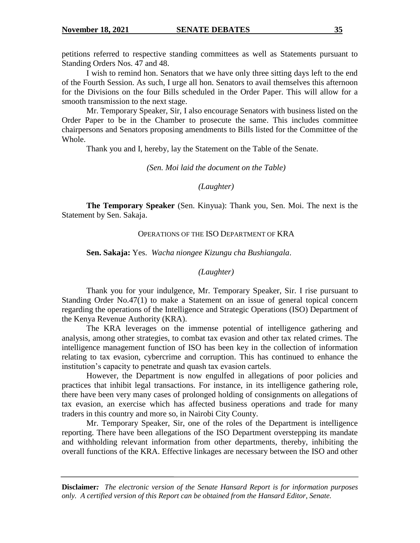petitions referred to respective standing committees as well as Statements pursuant to Standing Orders Nos. 47 and 48.

I wish to remind hon. Senators that we have only three sitting days left to the end of the Fourth Session. As such, I urge all hon. Senators to avail themselves this afternoon for the Divisions on the four Bills scheduled in the Order Paper. This will allow for a smooth transmission to the next stage.

Mr. Temporary Speaker, Sir, I also encourage Senators with business listed on the Order Paper to be in the Chamber to prosecute the same. This includes committee chairpersons and Senators proposing amendments to Bills listed for the Committee of the Whole.

Thank you and I, hereby, lay the Statement on the Table of the Senate.

*(Sen. Moi laid the document on the Table)*

### *(Laughter)*

**The Temporary Speaker** (Sen. Kinyua): Thank you, Sen. Moi. The next is the Statement by Sen. Sakaja.

### OPERATIONS OF THE ISO DEPARTMENT OF KRA

**Sen. Sakaja:** Yes. *Wacha niongee Kizungu cha Bushiangala*.

### *(Laughter)*

Thank you for your indulgence, Mr. Temporary Speaker, Sir. I rise pursuant to Standing Order No.47(1) to make a Statement on an issue of general topical concern regarding the operations of the Intelligence and Strategic Operations (ISO) Department of the Kenya Revenue Authority (KRA).

The KRA leverages on the immense potential of intelligence gathering and analysis, among other strategies, to combat tax evasion and other tax related crimes. The intelligence management function of ISO has been key in the collection of information relating to tax evasion, cybercrime and corruption. This has continued to enhance the institution's capacity to penetrate and quash tax evasion cartels.

However, the Department is now engulfed in allegations of poor policies and practices that inhibit legal transactions. For instance, in its intelligence gathering role, there have been very many cases of prolonged holding of consignments on allegations of tax evasion, an exercise which has affected business operations and trade for many traders in this country and more so, in Nairobi City County.

Mr. Temporary Speaker, Sir, one of the roles of the Department is intelligence reporting. There have been allegations of the ISO Department overstepping its mandate and withholding relevant information from other departments, thereby, inhibiting the overall functions of the KRA. Effective linkages are necessary between the ISO and other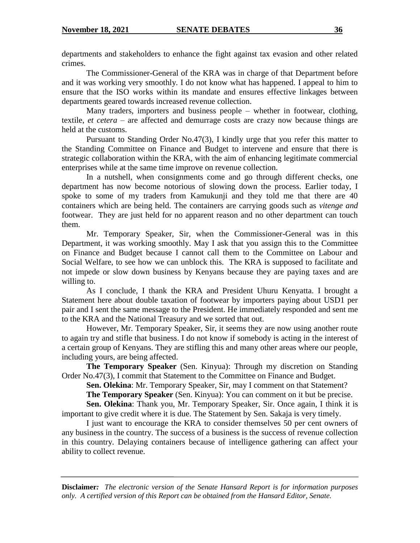departments and stakeholders to enhance the fight against tax evasion and other related crimes.

The Commissioner-General of the KRA was in charge of that Department before and it was working very smoothly. I do not know what has happened. I appeal to him to ensure that the ISO works within its mandate and ensures effective linkages between departments geared towards increased revenue collection.

Many traders, importers and business people – whether in footwear, clothing, textile, *et cetera* – are affected and demurrage costs are crazy now because things are held at the customs.

Pursuant to Standing Order No.47(3), I kindly urge that you refer this matter to the Standing Committee on Finance and Budget to intervene and ensure that there is strategic collaboration within the KRA, with the aim of enhancing legitimate commercial enterprises while at the same time improve on revenue collection.

In a nutshell, when consignments come and go through different checks, one department has now become notorious of slowing down the process. Earlier today, I spoke to some of my traders from Kamukunji and they told me that there are 40 containers which are being held. The containers are carrying goods such as *vitenge and* footwear. They are just held for no apparent reason and no other department can touch them.

Mr. Temporary Speaker, Sir, when the Commissioner-General was in this Department, it was working smoothly. May I ask that you assign this to the Committee on Finance and Budget because I cannot call them to the Committee on Labour and Social Welfare, to see how we can unblock this. The KRA is supposed to facilitate and not impede or slow down business by Kenyans because they are paying taxes and are willing to.

As I conclude, I thank the KRA and President Uhuru Kenyatta. I brought a Statement here about double taxation of footwear by importers paying about USD1 per pair and I sent the same message to the President. He immediately responded and sent me to the KRA and the National Treasury and we sorted that out.

However, Mr. Temporary Speaker, Sir, it seems they are now using another route to again try and stifle that business. I do not know if somebody is acting in the interest of a certain group of Kenyans. They are stifling this and many other areas where our people, including yours, are being affected.

**The Temporary Speaker** (Sen. Kinyua): Through my discretion on Standing Order No.47(3), I commit that Statement to the Committee on Finance and Budget.

**Sen. Olekina**: Mr. Temporary Speaker, Sir, may I comment on that Statement?

**The Temporary Speaker** (Sen. Kinyua): You can comment on it but be precise.

**Sen. Olekina**: Thank you, Mr. Temporary Speaker, Sir. Once again, I think it is important to give credit where it is due. The Statement by Sen. Sakaja is very timely.

I just want to encourage the KRA to consider themselves 50 per cent owners of any business in the country. The success of a business is the success of revenue collection in this country. Delaying containers because of intelligence gathering can affect your ability to collect revenue.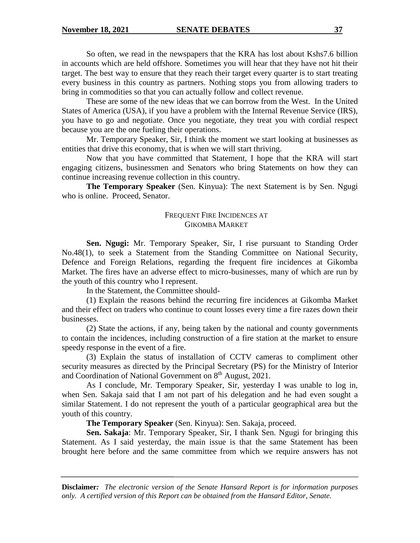So often, we read in the newspapers that the KRA has lost about Kshs7.6 billion in accounts which are held offshore. Sometimes you will hear that they have not hit their target. The best way to ensure that they reach their target every quarter is to start treating every business in this country as partners. Nothing stops you from allowing traders to bring in commodities so that you can actually follow and collect revenue.

These are some of the new ideas that we can borrow from the West. In the United States of America (USA), if you have a problem with the Internal Revenue Service (IRS), you have to go and negotiate. Once you negotiate, they treat you with cordial respect because you are the one fueling their operations.

Mr. Temporary Speaker, Sir, I think the moment we start looking at businesses as entities that drive this economy, that is when we will start thriving.

Now that you have committed that Statement, I hope that the KRA will start engaging citizens, businessmen and Senators who bring Statements on how they can continue increasing revenue collection in this country.

**The Temporary Speaker** (Sen. Kinyua): The next Statement is by Sen. Ngugi who is online. Proceed, Senator.

# FREQUENT FIRE INCIDENCES AT GIKOMBA MARKET

**Sen. Ngugi:** Mr. Temporary Speaker, Sir, I rise pursuant to Standing Order No.48(1), to seek a Statement from the Standing Committee on National Security, Defence and Foreign Relations, regarding the frequent fire incidences at Gikomba Market. The fires have an adverse effect to micro-businesses, many of which are run by the youth of this country who I represent.

In the Statement, the Committee should-

(1) Explain the reasons behind the recurring fire incidences at Gikomba Market and their effect on traders who continue to count losses every time a fire razes down their businesses.

(2) State the actions, if any, being taken by the national and county governments to contain the incidences, including construction of a fire station at the market to ensure speedy response in the event of a fire.

(3) Explain the status of installation of CCTV cameras to compliment other security measures as directed by the Principal Secretary (PS) for the Ministry of Interior and Coordination of National Government on  $8<sup>th</sup>$  August, 2021.

As I conclude, Mr. Temporary Speaker, Sir, yesterday I was unable to log in, when Sen. Sakaja said that I am not part of his delegation and he had even sought a similar Statement. I do not represent the youth of a particular geographical area but the youth of this country.

**The Temporary Speaker** (Sen. Kinyua): Sen. Sakaja, proceed.

**Sen. Sakaja**: Mr. Temporary Speaker, Sir, I thank Sen. Ngugi for bringing this Statement. As I said yesterday, the main issue is that the same Statement has been brought here before and the same committee from which we require answers has not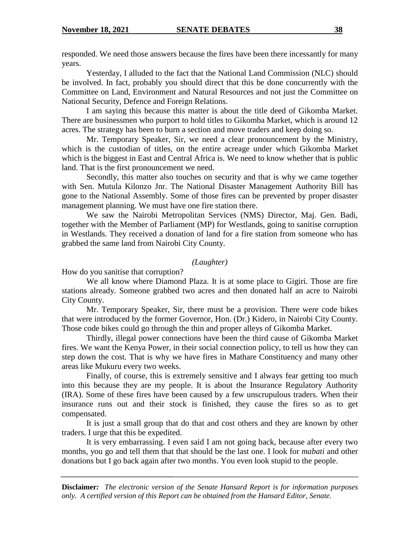responded. We need those answers because the fires have been there incessantly for many years.

Yesterday, I alluded to the fact that the National Land Commission (NLC) should be involved. In fact, probably you should direct that this be done concurrently with the Committee on Land, Environment and Natural Resources and not just the Committee on National Security, Defence and Foreign Relations.

I am saying this because this matter is about the title deed of Gikomba Market. There are businessmen who purport to hold titles to Gikomba Market, which is around 12 acres. The strategy has been to burn a section and move traders and keep doing so.

Mr. Temporary Speaker, Sir, we need a clear pronouncement by the Ministry, which is the custodian of titles, on the entire acreage under which Gikomba Market which is the biggest in East and Central Africa is. We need to know whether that is public land. That is the first pronouncement we need.

Secondly, this matter also touches on security and that is why we came together with Sen. Mutula Kilonzo Jnr. The National Disaster Management Authority Bill has gone to the National Assembly. Some of those fires can be prevented by proper disaster management planning. We must have one fire station there.

We saw the Nairobi Metropolitan Services (NMS) Director, Maj. Gen. Badi, together with the Member of Parliament (MP) for Westlands, going to sanitise corruption in Westlands. They received a donation of land for a fire station from someone who has grabbed the same land from Nairobi City County.

# *(Laughter)*

How do you sanitise that corruption?

We all know where Diamond Plaza. It is at some place to Gigiri. Those are fire stations already. Someone grabbed two acres and then donated half an acre to Nairobi City County.

Mr. Temporary Speaker, Sir, there must be a provision. There were code bikes that were introduced by the former Governor, Hon. (Dr.) Kidero, in Nairobi City County. Those code bikes could go through the thin and proper alleys of Gikomba Market.

Thirdly, illegal power connections have been the third cause of Gikomba Market fires. We want the Kenya Power, in their social connection policy, to tell us how they can step down the cost. That is why we have fires in Mathare Constituency and many other areas like Mukuru every two weeks.

Finally, of course, this is extremely sensitive and I always fear getting too much into this because they are my people. It is about the Insurance Regulatory Authority (IRA). Some of these fires have been caused by a few unscrupulous traders. When their insurance runs out and their stock is finished, they cause the fires so as to get compensated.

It is just a small group that do that and cost others and they are known by other traders. I urge that this be expedited.

It is very embarrassing. I even said I am not going back, because after every two months, you go and tell them that that should be the last one. I look for *mabati* and other donations but I go back again after two months. You even look stupid to the people.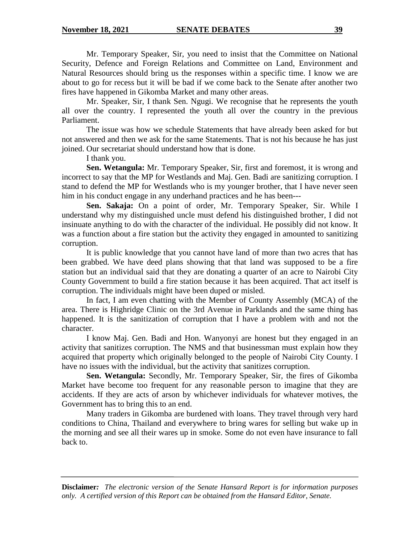Mr. Temporary Speaker, Sir, you need to insist that the Committee on National Security, Defence and Foreign Relations and Committee on Land, Environment and Natural Resources should bring us the responses within a specific time. I know we are about to go for recess but it will be bad if we come back to the Senate after another two fires have happened in Gikomba Market and many other areas.

Mr. Speaker, Sir, I thank Sen. Ngugi. We recognise that he represents the youth all over the country. I represented the youth all over the country in the previous Parliament.

The issue was how we schedule Statements that have already been asked for but not answered and then we ask for the same Statements. That is not his because he has just joined. Our secretariat should understand how that is done.

I thank you.

**Sen. Wetangula:** Mr. Temporary Speaker, Sir, first and foremost, it is wrong and incorrect to say that the MP for Westlands and Maj. Gen. Badi are sanitizing corruption. I stand to defend the MP for Westlands who is my younger brother, that I have never seen him in his conduct engage in any underhand practices and he has been---

**Sen. Sakaja:** On a point of order, Mr. Temporary Speaker, Sir. While I understand why my distinguished uncle must defend his distinguished brother, I did not insinuate anything to do with the character of the individual. He possibly did not know. It was a function about a fire station but the activity they engaged in amounted to sanitizing corruption.

It is public knowledge that you cannot have land of more than two acres that has been grabbed. We have deed plans showing that that land was supposed to be a fire station but an individual said that they are donating a quarter of an acre to Nairobi City County Government to build a fire station because it has been acquired. That act itself is corruption. The individuals might have been duped or misled.

In fact, I am even chatting with the Member of County Assembly (MCA) of the area. There is Highridge Clinic on the 3rd Avenue in Parklands and the same thing has happened. It is the sanitization of corruption that I have a problem with and not the character.

I know Maj. Gen. Badi and Hon. Wanyonyi are honest but they engaged in an activity that sanitizes corruption. The NMS and that businessman must explain how they acquired that property which originally belonged to the people of Nairobi City County. I have no issues with the individual, but the activity that sanitizes corruption.

**Sen. Wetangula:** Secondly, Mr. Temporary Speaker, Sir, the fires of Gikomba Market have become too frequent for any reasonable person to imagine that they are accidents. If they are acts of arson by whichever individuals for whatever motives, the Government has to bring this to an end.

Many traders in Gikomba are burdened with loans. They travel through very hard conditions to China, Thailand and everywhere to bring wares for selling but wake up in the morning and see all their wares up in smoke. Some do not even have insurance to fall back to.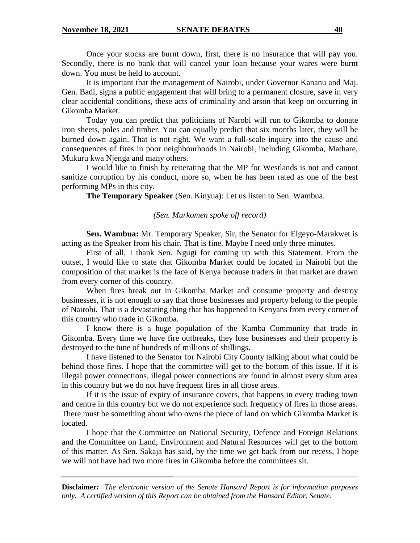Once your stocks are burnt down, first, there is no insurance that will pay you. Secondly, there is no bank that will cancel your loan because your wares were burnt down. You must be held to account.

It is important that the management of Nairobi, under Governor Kananu and Maj. Gen. Badi, signs a public engagement that will bring to a permanent closure, save in very clear accidental conditions, these acts of criminality and arson that keep on occurring in Gikomba Market.

Today you can predict that politicians of Narobi will run to Gikomba to donate iron sheets, poles and timber. You can equally predict that six months later, they will be burned down again. That is not right. We want a full-scale inquiry into the cause and consequences of fires in poor neighbourhoods in Nairobi, including Gikomba, Mathare, Mukuru kwa Njenga and many others.

I would like to finish by reiterating that the MP for Westlands is not and cannot sanitize corruption by his conduct, more so, when he has been rated as one of the best performing MPs in this city.

**The Temporary Speaker** (Sen. Kinyua): Let us listen to Sen. Wambua.

# *(Sen. Murkomen spoke off record)*

**Sen. Wambua:** Mr. Temporary Speaker, Sir, the Senator for Elgeyo-Marakwet is acting as the Speaker from his chair. That is fine. Maybe I need only three minutes.

First of all, I thank Sen. Ngugi for coming up with this Statement. From the outset, I would like to state that Gikomba Market could be located in Nairobi but the composition of that market is the face of Kenya because traders in that market are drawn from every corner of this country.

When fires break out in Gikomba Market and consume property and destroy businesses, it is not enough to say that those businesses and property belong to the people of Nairobi. That is a devastating thing that has happened to Kenyans from every corner of this country who trade in Gikomba.

I know there is a huge population of the Kamba Community that trade in Gikomba. Every time we have fire outbreaks, they lose businesses and their property is destroyed to the tune of hundreds of millions of shillings.

I have listened to the Senator for Nairobi City County talking about what could be behind those fires. I hope that the committee will get to the bottom of this issue. If it is illegal power connections, illegal power connections are found in almost every slum area in this country but we do not have frequent fires in all those areas.

If it is the issue of expiry of insurance covers, that happens in every trading town and centre in this country but we do not experience such frequency of fires in those areas. There must be something about who owns the piece of land on which Gikomba Market is located.

I hope that the Committee on National Security, Defence and Foreign Relations and the Committee on Land, Environment and Natural Resources will get to the bottom of this matter. As Sen. Sakaja has said, by the time we get back from our recess, I hope we will not have had two more fires in Gikomba before the committees sit.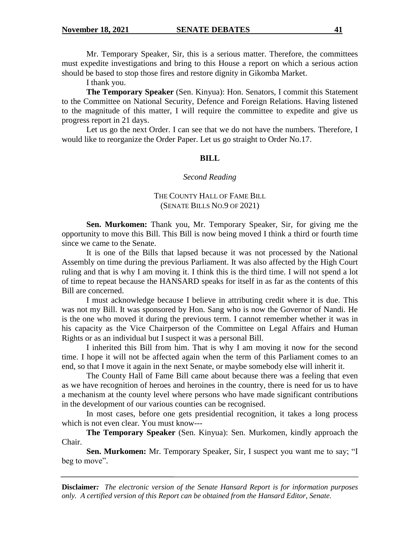Mr. Temporary Speaker, Sir, this is a serious matter. Therefore, the committees must expedite investigations and bring to this House a report on which a serious action should be based to stop those fires and restore dignity in Gikomba Market.

I thank you.

**The Temporary Speaker** (Sen. Kinyua): Hon. Senators, I commit this Statement to the Committee on National Security, Defence and Foreign Relations. Having listened to the magnitude of this matter, I will require the committee to expedite and give us progress report in 21 days.

Let us go the next Order. I can see that we do not have the numbers. Therefore, I would like to reorganize the Order Paper. Let us go straight to Order No.17.

# **BILL**

#### *Second Reading*

# THE COUNTY HALL OF FAME BILL (SENATE BILLS NO.9 OF 2021)

**Sen. Murkomen:** Thank you, Mr. Temporary Speaker, Sir, for giving me the opportunity to move this Bill. This Bill is now being moved I think a third or fourth time since we came to the Senate.

It is one of the Bills that lapsed because it was not processed by the National Assembly on time during the previous Parliament. It was also affected by the High Court ruling and that is why I am moving it. I think this is the third time. I will not spend a lot of time to repeat because the HANSARD speaks for itself in as far as the contents of this Bill are concerned.

I must acknowledge because I believe in attributing credit where it is due. This was not my Bill. It was sponsored by Hon. Sang who is now the Governor of Nandi. He is the one who moved it during the previous term. I cannot remember whether it was in his capacity as the Vice Chairperson of the Committee on Legal Affairs and Human Rights or as an individual but I suspect it was a personal Bill.

I inherited this Bill from him. That is why I am moving it now for the second time. I hope it will not be affected again when the term of this Parliament comes to an end, so that I move it again in the next Senate, or maybe somebody else will inherit it.

The County Hall of Fame Bill came about because there was a feeling that even as we have recognition of heroes and heroines in the country, there is need for us to have a mechanism at the county level where persons who have made significant contributions in the development of our various counties can be recognised.

In most cases, before one gets presidential recognition, it takes a long process which is not even clear. You must know---

**The Temporary Speaker** (Sen. Kinyua): Sen. Murkomen, kindly approach the Chair.

**Sen. Murkomen:** Mr. Temporary Speaker, Sir, I suspect you want me to say; "I beg to move".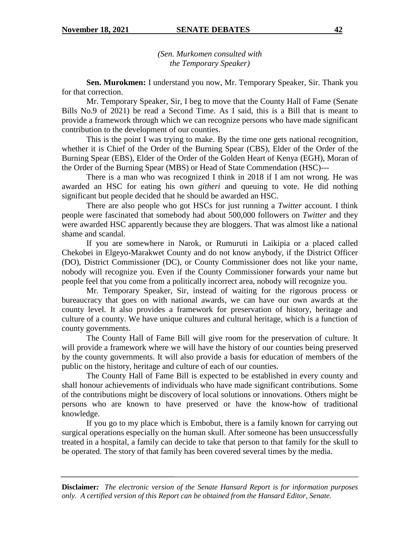*(Sen. Murkomen consulted with the Temporary Speaker)*

**Sen. Murokmen:** I understand you now, Mr. Temporary Speaker, Sir. Thank you for that correction.

Mr. Temporary Speaker, Sir, I beg to move that the County Hall of Fame (Senate Bills No.9 of 2021) be read a Second Time. As I said, this is a Bill that is meant to provide a framework through which we can recognize persons who have made significant contribution to the development of our counties.

This is the point I was trying to make. By the time one gets national recognition, whether it is Chief of the Order of the Burning Spear (CBS), Elder of the Order of the Burning Spear (EBS), Elder of the Order of the Golden Heart of Kenya (EGH), Moran of the Order of the Burning Spear (MBS) or Head of State Commendation (HSC)---

There is a man who was recognized I think in 2018 if I am not wrong. He was awarded an HSC for eating his own *githeri* and queuing to vote. He did nothing significant but people decided that he should be awarded an HSC.

There are also people who got HSCs for just running a *Twitter* account. I think people were fascinated that somebody had about 500,000 followers on *Twitter* and they were awarded HSC apparently because they are bloggers. That was almost like a national shame and scandal.

If you are somewhere in Narok, or Rumuruti in Laikipia or a placed called Chekobei in Elgeyo-Marakwet County and do not know anybody, if the District Officer (DO), District Commissioner (DC), or County Commissioner does not like your name, nobody will recognize you. Even if the County Commissioner forwards your name but people feel that you come from a politically incorrect area, nobody will recognize you.

Mr. Temporary Speaker, Sir, instead of waiting for the rigorous process or bureaucracy that goes on with national awards, we can have our own awards at the county level. It also provides a framework for preservation of history, heritage and culture of a county. We have unique cultures and cultural heritage, which is a function of county governments.

The County Hall of Fame Bill will give room for the preservation of culture. It will provide a framework where we will have the history of our counties being preserved by the county governments. It will also provide a basis for education of members of the public on the history, heritage and culture of each of our counties.

The County Hall of Fame Bill is expected to be established in every county and shall honour achievements of individuals who have made significant contributions. Some of the contributions might be discovery of local solutions or innovations. Others might be persons who are known to have preserved or have the know-how of traditional knowledge.

If you go to my place which is Embobut, there is a family known for carrying out surgical operations especially on the human skull. After someone has been unsuccessfully treated in a hospital, a family can decide to take that person to that family for the skull to be operated. The story of that family has been covered several times by the media.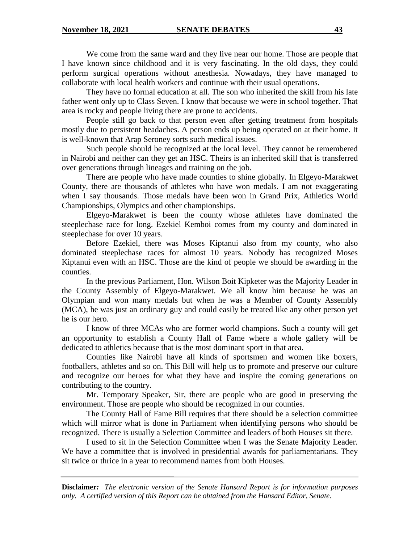We come from the same ward and they live near our home. Those are people that I have known since childhood and it is very fascinating. In the old days, they could perform surgical operations without anesthesia. Nowadays, they have managed to collaborate with local health workers and continue with their usual operations.

They have no formal education at all. The son who inherited the skill from his late father went only up to Class Seven. I know that because we were in school together. That area is rocky and people living there are prone to accidents.

People still go back to that person even after getting treatment from hospitals mostly due to persistent headaches. A person ends up being operated on at their home. It is well-known that Arap Seroney sorts such medical issues.

Such people should be recognized at the local level. They cannot be remembered in Nairobi and neither can they get an HSC. Theirs is an inherited skill that is transferred over generations through lineages and training on the job.

There are people who have made counties to shine globally. In Elgeyo-Marakwet County, there are thousands of athletes who have won medals. I am not exaggerating when I say thousands. Those medals have been won in Grand Prix, Athletics World Championships, Olympics and other championships.

Elgeyo-Marakwet is been the county whose athletes have dominated the steeplechase race for long. Ezekiel Kemboi comes from my county and dominated in steeplechase for over 10 years.

Before Ezekiel, there was Moses Kiptanui also from my county, who also dominated steeplechase races for almost 10 years. Nobody has recognized Moses Kiptanui even with an HSC. Those are the kind of people we should be awarding in the counties.

In the previous Parliament, Hon. Wilson Boit Kipketer was the Majority Leader in the County Assembly of Elgeyo-Marakwet. We all know him because he was an Olympian and won many medals but when he was a Member of County Assembly (MCA), he was just an ordinary guy and could easily be treated like any other person yet he is our hero.

I know of three MCAs who are former world champions. Such a county will get an opportunity to establish a County Hall of Fame where a whole gallery will be dedicated to athletics because that is the most dominant sport in that area.

Counties like Nairobi have all kinds of sportsmen and women like boxers, footballers, athletes and so on. This Bill will help us to promote and preserve our culture and recognize our heroes for what they have and inspire the coming generations on contributing to the country.

Mr. Temporary Speaker, Sir, there are people who are good in preserving the environment. Those are people who should be recognized in our counties.

The County Hall of Fame Bill requires that there should be a selection committee which will mirror what is done in Parliament when identifying persons who should be recognized. There is usually a Selection Committee and leaders of both Houses sit there.

I used to sit in the Selection Committee when I was the Senate Majority Leader. We have a committee that is involved in presidential awards for parliamentarians. They sit twice or thrice in a year to recommend names from both Houses.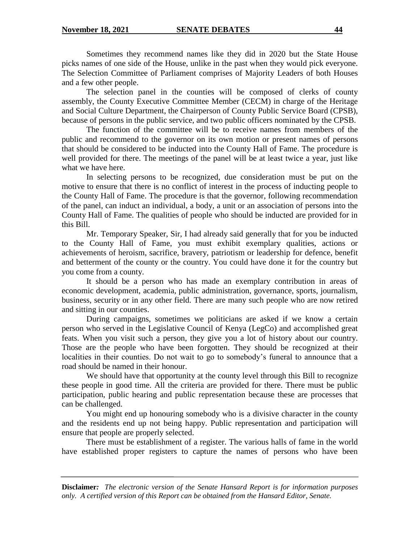Sometimes they recommend names like they did in 2020 but the State House picks names of one side of the House, unlike in the past when they would pick everyone. The Selection Committee of Parliament comprises of Majority Leaders of both Houses and a few other people.

The selection panel in the counties will be composed of clerks of county assembly, the County Executive Committee Member (CECM) in charge of the Heritage and Social Culture Department, the Chairperson of County Public Service Board (CPSB), because of persons in the public service, and two public officers nominated by the CPSB.

The function of the committee will be to receive names from members of the public and recommend to the governor on its own motion or present names of persons that should be considered to be inducted into the County Hall of Fame. The procedure is well provided for there. The meetings of the panel will be at least twice a year, just like what we have here.

In selecting persons to be recognized, due consideration must be put on the motive to ensure that there is no conflict of interest in the process of inducting people to the County Hall of Fame. The procedure is that the governor, following recommendation of the panel, can induct an individual, a body, a unit or an association of persons into the County Hall of Fame. The qualities of people who should be inducted are provided for in this Bill.

Mr. Temporary Speaker, Sir, I had already said generally that for you be inducted to the County Hall of Fame, you must exhibit exemplary qualities, actions or achievements of heroism, sacrifice, bravery, patriotism or leadership for defence, benefit and betterment of the county or the country. You could have done it for the country but you come from a county.

It should be a person who has made an exemplary contribution in areas of economic development, academia, public administration, governance, sports, journalism, business, security or in any other field. There are many such people who are now retired and sitting in our counties.

During campaigns, sometimes we politicians are asked if we know a certain person who served in the Legislative Council of Kenya (LegCo) and accomplished great feats. When you visit such a person, they give you a lot of history about our country. Those are the people who have been forgotten. They should be recognized at their localities in their counties. Do not wait to go to somebody's funeral to announce that a road should be named in their honour.

We should have that opportunity at the county level through this Bill to recognize these people in good time. All the criteria are provided for there. There must be public participation, public hearing and public representation because these are processes that can be challenged.

You might end up honouring somebody who is a divisive character in the county and the residents end up not being happy. Public representation and participation will ensure that people are properly selected.

There must be establishment of a register. The various halls of fame in the world have established proper registers to capture the names of persons who have been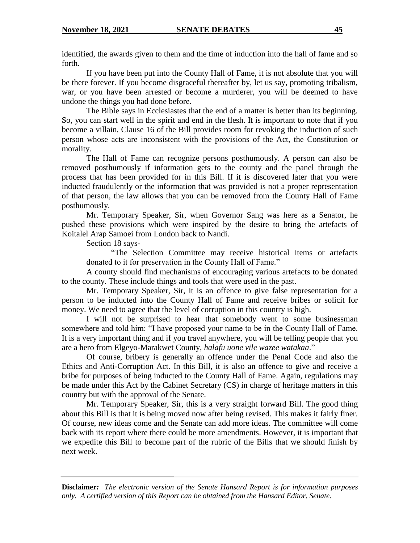identified, the awards given to them and the time of induction into the hall of fame and so forth.

If you have been put into the County Hall of Fame, it is not absolute that you will be there forever. If you become disgraceful thereafter by, let us say, promoting tribalism, war, or you have been arrested or become a murderer, you will be deemed to have undone the things you had done before.

The Bible says in Ecclesiastes that the end of a matter is better than its beginning. So, you can start well in the spirit and end in the flesh. It is important to note that if you become a villain, Clause 16 of the Bill provides room for revoking the induction of such person whose acts are inconsistent with the provisions of the Act, the Constitution or morality.

The Hall of Fame can recognize persons posthumously. A person can also be removed posthumously if information gets to the county and the panel through the process that has been provided for in this Bill. If it is discovered later that you were inducted fraudulently or the information that was provided is not a proper representation of that person, the law allows that you can be removed from the County Hall of Fame posthumously.

Mr. Temporary Speaker, Sir, when Governor Sang was here as a Senator, he pushed these provisions which were inspired by the desire to bring the artefacts of Koitalel Arap Samoei from London back to Nandi.

Section 18 says-

"The Selection Committee may receive historical items or artefacts donated to it for preservation in the County Hall of Fame."

A county should find mechanisms of encouraging various artefacts to be donated to the county. These include things and tools that were used in the past.

Mr. Temporary Speaker, Sir, it is an offence to give false representation for a person to be inducted into the County Hall of Fame and receive bribes or solicit for money. We need to agree that the level of corruption in this country is high.

I will not be surprised to hear that somebody went to some businessman somewhere and told him: "I have proposed your name to be in the County Hall of Fame. It is a very important thing and if you travel anywhere, you will be telling people that you are a hero from Elgeyo-Marakwet County, *halafu uone vile wazee watakaa*."

Of course, bribery is generally an offence under the Penal Code and also the Ethics and Anti-Corruption Act. In this Bill, it is also an offence to give and receive a bribe for purposes of being inducted to the County Hall of Fame. Again, regulations may be made under this Act by the Cabinet Secretary (CS) in charge of heritage matters in this country but with the approval of the Senate.

Mr. Temporary Speaker, Sir, this is a very straight forward Bill. The good thing about this Bill is that it is being moved now after being revised. This makes it fairly finer. Of course, new ideas come and the Senate can add more ideas. The committee will come back with its report where there could be more amendments. However, it is important that we expedite this Bill to become part of the rubric of the Bills that we should finish by next week.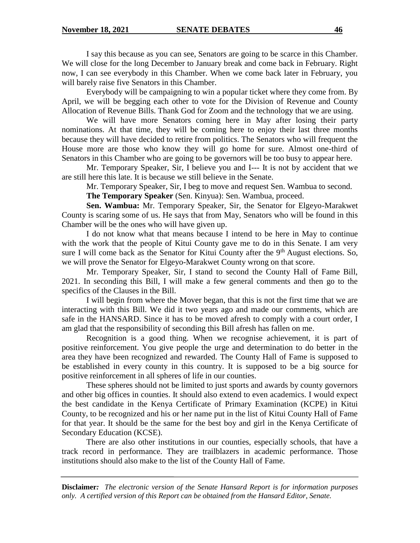I say this because as you can see, Senators are going to be scarce in this Chamber. We will close for the long December to January break and come back in February. Right now, I can see everybody in this Chamber. When we come back later in February, you will barely raise five Senators in this Chamber.

Everybody will be campaigning to win a popular ticket where they come from. By April, we will be begging each other to vote for the Division of Revenue and County Allocation of Revenue Bills. Thank God for Zoom and the technology that we are using.

We will have more Senators coming here in May after losing their party nominations. At that time, they will be coming here to enjoy their last three months because they will have decided to retire from politics. The Senators who will frequent the House more are those who know they will go home for sure. Almost one-third of Senators in this Chamber who are going to be governors will be too busy to appear here.

Mr. Temporary Speaker, Sir, I believe you and I--- It is not by accident that we are still here this late. It is because we still believe in the Senate.

Mr. Temporary Speaker, Sir, I beg to move and request Sen. Wambua to second.

**The Temporary Speaker** (Sen. Kinyua): Sen. Wambua, proceed.

**Sen. Wambua:** Mr. Temporary Speaker, Sir, the Senator for Elgeyo-Marakwet County is scaring some of us. He says that from May, Senators who will be found in this Chamber will be the ones who will have given up.

I do not know what that means because I intend to be here in May to continue with the work that the people of Kitui County gave me to do in this Senate. I am very sure I will come back as the Senator for Kitui County after the  $9<sup>th</sup>$  August elections. So, we will prove the Senator for Elgeyo-Marakwet County wrong on that score.

Mr. Temporary Speaker, Sir, I stand to second the County Hall of Fame Bill, 2021. In seconding this Bill, I will make a few general comments and then go to the specifics of the Clauses in the Bill.

I will begin from where the Mover began, that this is not the first time that we are interacting with this Bill. We did it two years ago and made our comments, which are safe in the HANSARD. Since it has to be moved afresh to comply with a court order, I am glad that the responsibility of seconding this Bill afresh has fallen on me.

Recognition is a good thing. When we recognise achievement, it is part of positive reinforcement. You give people the urge and determination to do better in the area they have been recognized and rewarded. The County Hall of Fame is supposed to be established in every county in this country. It is supposed to be a big source for positive reinforcement in all spheres of life in our counties.

These spheres should not be limited to just sports and awards by county governors and other big offices in counties. It should also extend to even academics. I would expect the best candidate in the Kenya Certificate of Primary Examination (KCPE) in Kitui County, to be recognized and his or her name put in the list of Kitui County Hall of Fame for that year. It should be the same for the best boy and girl in the Kenya Certificate of Secondary Education (KCSE).

There are also other institutions in our counties, especially schools, that have a track record in performance. They are trailblazers in academic performance. Those institutions should also make to the list of the County Hall of Fame.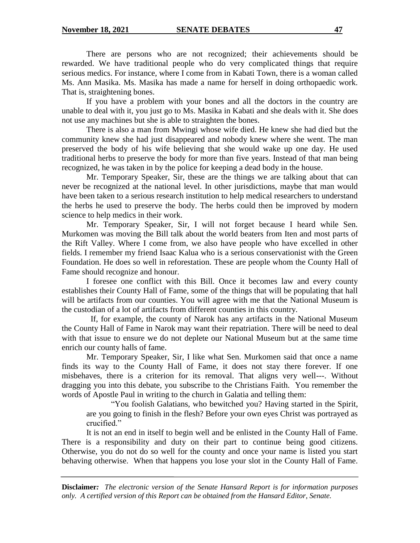There are persons who are not recognized; their achievements should be rewarded. We have traditional people who do very complicated things that require serious medics. For instance, where I come from in Kabati Town, there is a woman called Ms. Ann Masika. Ms. Masika has made a name for herself in doing orthopaedic work. That is, straightening bones.

If you have a problem with your bones and all the doctors in the country are unable to deal with it, you just go to Ms. Masika in Kabati and she deals with it. She does not use any machines but she is able to straighten the bones.

There is also a man from Mwingi whose wife died. He knew she had died but the community knew she had just disappeared and nobody knew where she went. The man preserved the body of his wife believing that she would wake up one day. He used traditional herbs to preserve the body for more than five years. Instead of that man being recognized, he was taken in by the police for keeping a dead body in the house.

Mr. Temporary Speaker, Sir, these are the things we are talking about that can never be recognized at the national level. In other jurisdictions, maybe that man would have been taken to a serious research institution to help medical researchers to understand the herbs he used to preserve the body. The herbs could then be improved by modern science to help medics in their work.

Mr. Temporary Speaker, Sir, I will not forget because I heard while Sen. Murkomen was moving the Bill talk about the world beaters from Iten and most parts of the Rift Valley. Where I come from, we also have people who have excelled in other fields. I remember my friend Isaac Kalua who is a serious conservationist with the Green Foundation. He does so well in reforestation. These are people whom the County Hall of Fame should recognize and honour.

I foresee one conflict with this Bill. Once it becomes law and every county establishes their County Hall of Fame, some of the things that will be populating that hall will be artifacts from our counties. You will agree with me that the National Museum is the custodian of a lot of artifacts from different counties in this country.

 If, for example, the county of Narok has any artifacts in the National Museum the County Hall of Fame in Narok may want their repatriation. There will be need to deal with that issue to ensure we do not deplete our National Museum but at the same time enrich our county halls of fame.

Mr. Temporary Speaker, Sir, I like what Sen. Murkomen said that once a name finds its way to the County Hall of Fame, it does not stay there forever. If one misbehaves, there is a criterion for its removal. That aligns very well---. Without dragging you into this debate, you subscribe to the Christians Faith. You remember the words of Apostle Paul in writing to the church in Galatia and telling them:

"You foolish Galatians, who bewitched you? Having started in the Spirit, are you going to finish in the flesh? Before your own eyes Christ was portrayed as crucified."

It is not an end in itself to begin well and be enlisted in the County Hall of Fame. There is a responsibility and duty on their part to continue being good citizens. Otherwise, you do not do so well for the county and once your name is listed you start behaving otherwise. When that happens you lose your slot in the County Hall of Fame.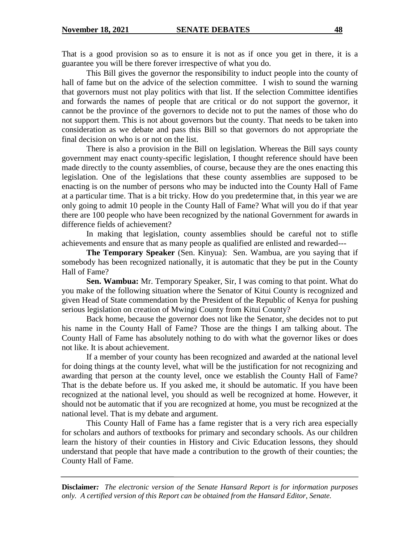That is a good provision so as to ensure it is not as if once you get in there, it is a guarantee you will be there forever irrespective of what you do.

This Bill gives the governor the responsibility to induct people into the county of hall of fame but on the advice of the selection committee. I wish to sound the warning that governors must not play politics with that list. If the selection Committee identifies and forwards the names of people that are critical or do not support the governor, it cannot be the province of the governors to decide not to put the names of those who do not support them. This is not about governors but the county. That needs to be taken into consideration as we debate and pass this Bill so that governors do not appropriate the final decision on who is or not on the list.

There is also a provision in the Bill on legislation. Whereas the Bill says county government may enact county-specific legislation, I thought reference should have been made directly to the county assemblies, of course, because they are the ones enacting this legislation. One of the legislations that these county assemblies are supposed to be enacting is on the number of persons who may be inducted into the County Hall of Fame at a particular time. That is a bit tricky. How do you predetermine that, in this year we are only going to admit 10 people in the County Hall of Fame? What will you do if that year there are 100 people who have been recognized by the national Government for awards in difference fields of achievement?

In making that legislation, county assemblies should be careful not to stifle achievements and ensure that as many people as qualified are enlisted and rewarded---

**The Temporary Speaker** (Sen. Kinyua): Sen. Wambua, are you saying that if somebody has been recognized nationally, it is automatic that they be put in the County Hall of Fame?

**Sen. Wambua:** Mr. Temporary Speaker, Sir, I was coming to that point. What do you make of the following situation where the Senator of Kitui County is recognized and given Head of State commendation by the President of the Republic of Kenya for pushing serious legislation on creation of Mwingi County from Kitui County?

Back home, because the governor does not like the Senator, she decides not to put his name in the County Hall of Fame? Those are the things I am talking about. The County Hall of Fame has absolutely nothing to do with what the governor likes or does not like. It is about achievement.

If a member of your county has been recognized and awarded at the national level for doing things at the county level, what will be the justification for not recognizing and awarding that person at the county level, once we establish the County Hall of Fame? That is the debate before us. If you asked me, it should be automatic. If you have been recognized at the national level, you should as well be recognized at home. However, it should not be automatic that if you are recognized at home, you must be recognized at the national level. That is my debate and argument.

This County Hall of Fame has a fame register that is a very rich area especially for scholars and authors of textbooks for primary and secondary schools. As our children learn the history of their counties in History and Civic Education lessons, they should understand that people that have made a contribution to the growth of their counties; the County Hall of Fame.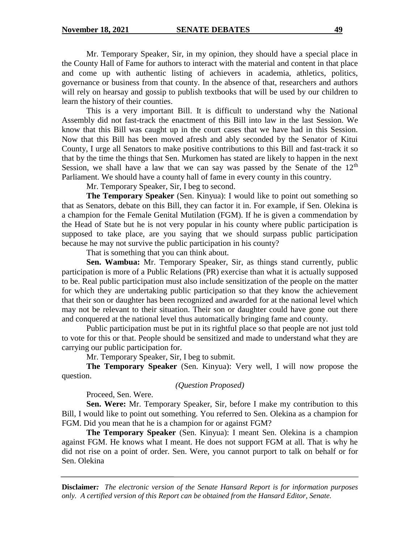Mr. Temporary Speaker, Sir, in my opinion, they should have a special place in the County Hall of Fame for authors to interact with the material and content in that place and come up with authentic listing of achievers in academia, athletics, politics, governance or business from that county. In the absence of that, researchers and authors will rely on hearsay and gossip to publish textbooks that will be used by our children to learn the history of their counties.

This is a very important Bill. It is difficult to understand why the National Assembly did not fast-track the enactment of this Bill into law in the last Session. We know that this Bill was caught up in the court cases that we have had in this Session. Now that this Bill has been moved afresh and ably seconded by the Senator of Kitui County, I urge all Senators to make positive contributions to this Bill and fast-track it so that by the time the things that Sen. Murkomen has stated are likely to happen in the next Session, we shall have a law that we can say was passed by the Senate of the  $12<sup>th</sup>$ Parliament. We should have a county hall of fame in every county in this country.

Mr. Temporary Speaker, Sir, I beg to second.

**The Temporary Speaker** (Sen. Kinyua): I would like to point out something so that as Senators, debate on this Bill, they can factor it in. For example, if Sen. Olekina is a champion for the Female Genital Mutilation (FGM). If he is given a commendation by the Head of State but he is not very popular in his county where public participation is supposed to take place, are you saying that we should surpass public participation because he may not survive the public participation in his county?

That is something that you can think about.

**Sen. Wambua:** Mr. Temporary Speaker, Sir, as things stand currently, public participation is more of a Public Relations (PR) exercise than what it is actually supposed to be. Real public participation must also include sensitization of the people on the matter for which they are undertaking public participation so that they know the achievement that their son or daughter has been recognized and awarded for at the national level which may not be relevant to their situation. Their son or daughter could have gone out there and conquered at the national level thus automatically bringing fame and county.

Public participation must be put in its rightful place so that people are not just told to vote for this or that. People should be sensitized and made to understand what they are carrying our public participation for.

Mr. Temporary Speaker, Sir, I beg to submit.

**The Temporary Speaker** (Sen. Kinyua): Very well, I will now propose the question.

*(Question Proposed)*

Proceed, Sen. Were.

**Sen. Were:** Mr. Temporary Speaker, Sir, before I make my contribution to this Bill, I would like to point out something. You referred to Sen. Olekina as a champion for FGM. Did you mean that he is a champion for or against FGM?

**The Temporary Speaker** (Sen. Kinyua): I meant Sen. Olekina is a champion against FGM. He knows what I meant. He does not support FGM at all. That is why he did not rise on a point of order. Sen. Were, you cannot purport to talk on behalf or for Sen. Olekina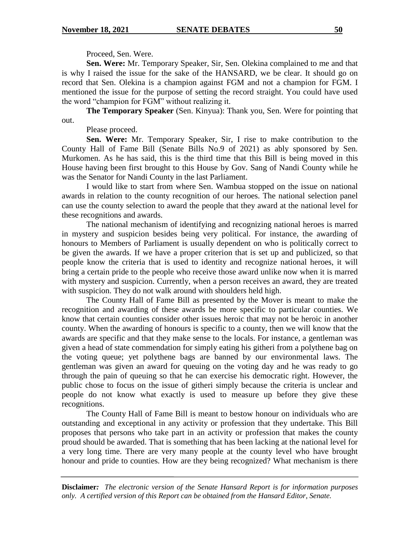Proceed, Sen. Were.

**Sen. Were:** Mr. Temporary Speaker, Sir, Sen. Olekina complained to me and that is why I raised the issue for the sake of the HANSARD, we be clear. It should go on record that Sen. Olekina is a champion against FGM and not a champion for FGM. I mentioned the issue for the purpose of setting the record straight. You could have used the word "champion for FGM" without realizing it.

**The Temporary Speaker** (Sen. Kinyua): Thank you, Sen. Were for pointing that out.

Please proceed.

**Sen. Were:** Mr. Temporary Speaker, Sir, I rise to make contribution to the County Hall of Fame Bill (Senate Bills No.9 of 2021) as ably sponsored by Sen. Murkomen. As he has said, this is the third time that this Bill is being moved in this House having been first brought to this House by Gov. Sang of Nandi County while he was the Senator for Nandi County in the last Parliament.

I would like to start from where Sen. Wambua stopped on the issue on national awards in relation to the county recognition of our heroes. The national selection panel can use the county selection to award the people that they award at the national level for these recognitions and awards.

The national mechanism of identifying and recognizing national heroes is marred in mystery and suspicion besides being very political. For instance, the awarding of honours to Members of Parliament is usually dependent on who is politically correct to be given the awards. If we have a proper criterion that is set up and publicized, so that people know the criteria that is used to identity and recognize national heroes, it will bring a certain pride to the people who receive those award unlike now when it is marred with mystery and suspicion. Currently, when a person receives an award, they are treated with suspicion. They do not walk around with shoulders held high.

The County Hall of Fame Bill as presented by the Mover is meant to make the recognition and awarding of these awards be more specific to particular counties. We know that certain counties consider other issues heroic that may not be heroic in another county. When the awarding of honours is specific to a county, then we will know that the awards are specific and that they make sense to the locals. For instance, a gentleman was given a head of state commendation for simply eating his githeri from a polythene bag on the voting queue; yet polythene bags are banned by our environmental laws. The gentleman was given an award for queuing on the voting day and he was ready to go through the pain of queuing so that he can exercise his democratic right. However, the public chose to focus on the issue of githeri simply because the criteria is unclear and people do not know what exactly is used to measure up before they give these recognitions.

The County Hall of Fame Bill is meant to bestow honour on individuals who are outstanding and exceptional in any activity or profession that they undertake. This Bill proposes that persons who take part in an activity or profession that makes the county proud should be awarded. That is something that has been lacking at the national level for a very long time. There are very many people at the county level who have brought honour and pride to counties. How are they being recognized? What mechanism is there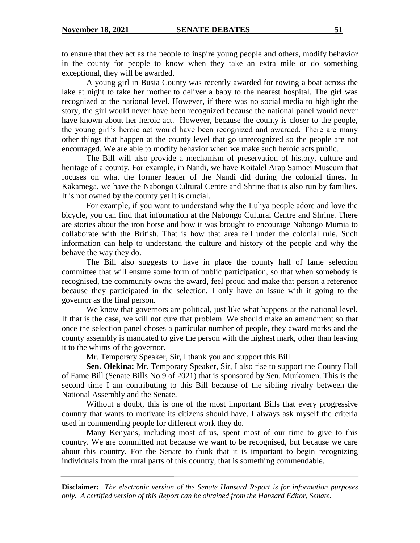to ensure that they act as the people to inspire young people and others, modify behavior in the county for people to know when they take an extra mile or do something exceptional, they will be awarded.

A young girl in Busia County was recently awarded for rowing a boat across the lake at night to take her mother to deliver a baby to the nearest hospital. The girl was recognized at the national level. However, if there was no social media to highlight the story, the girl would never have been recognized because the national panel would never have known about her heroic act. However, because the county is closer to the people, the young girl's heroic act would have been recognized and awarded. There are many other things that happen at the county level that go unrecognized so the people are not encouraged. We are able to modify behavior when we make such heroic acts public.

The Bill will also provide a mechanism of preservation of history, culture and heritage of a county. For example, in Nandi, we have Koitalel Arap Samoei Museum that focuses on what the former leader of the Nandi did during the colonial times. In Kakamega, we have the Nabongo Cultural Centre and Shrine that is also run by families. It is not owned by the county yet it is crucial.

For example, if you want to understand why the Luhya people adore and love the bicycle, you can find that information at the Nabongo Cultural Centre and Shrine. There are stories about the iron horse and how it was brought to encourage Nabongo Mumia to collaborate with the British. That is how that area fell under the colonial rule. Such information can help to understand the culture and history of the people and why the behave the way they do.

The Bill also suggests to have in place the county hall of fame selection committee that will ensure some form of public participation, so that when somebody is recognised, the community owns the award, feel proud and make that person a reference because they participated in the selection. I only have an issue with it going to the governor as the final person.

We know that governors are political, just like what happens at the national level. If that is the case, we will not cure that problem. We should make an amendment so that once the selection panel choses a particular number of people, they award marks and the county assembly is mandated to give the person with the highest mark, other than leaving it to the whims of the governor.

Mr. Temporary Speaker, Sir, I thank you and support this Bill.

**Sen. Olekina:** Mr. Temporary Speaker, Sir, I also rise to support the County Hall of Fame Bill (Senate Bills No.9 of 2021) that is sponsored by Sen. Murkomen. This is the second time I am contributing to this Bill because of the sibling rivalry between the National Assembly and the Senate.

Without a doubt, this is one of the most important Bills that every progressive country that wants to motivate its citizens should have. I always ask myself the criteria used in commending people for different work they do.

Many Kenyans, including most of us, spent most of our time to give to this country. We are committed not because we want to be recognised, but because we care about this country. For the Senate to think that it is important to begin recognizing individuals from the rural parts of this country, that is something commendable.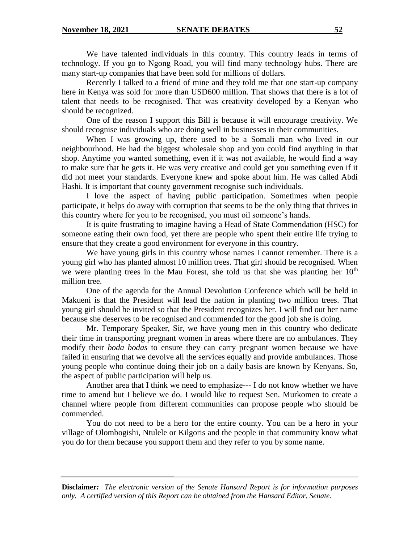We have talented individuals in this country. This country leads in terms of technology. If you go to Ngong Road, you will find many technology hubs. There are many start-up companies that have been sold for millions of dollars.

Recently I talked to a friend of mine and they told me that one start-up company here in Kenya was sold for more than USD600 million. That shows that there is a lot of talent that needs to be recognised. That was creativity developed by a Kenyan who should be recognized.

One of the reason I support this Bill is because it will encourage creativity. We should recognise individuals who are doing well in businesses in their communities.

When I was growing up, there used to be a Somali man who lived in our neighbourhood. He had the biggest wholesale shop and you could find anything in that shop. Anytime you wanted something, even if it was not available, he would find a way to make sure that he gets it. He was very creative and could get you something even if it did not meet your standards. Everyone knew and spoke about him. He was called Abdi Hashi. It is important that county government recognise such individuals.

I love the aspect of having public participation. Sometimes when people participate, it helps do away with corruption that seems to be the only thing that thrives in this country where for you to be recognised, you must oil someone's hands.

It is quite frustrating to imagine having a Head of State Commendation (HSC) for someone eating their own food, yet there are people who spent their entire life trying to ensure that they create a good environment for everyone in this country.

We have young girls in this country whose names I cannot remember. There is a young girl who has planted almost 10 million trees. That girl should be recognised. When we were planting trees in the Mau Forest, she told us that she was planting her  $10<sup>th</sup>$ million tree.

One of the agenda for the Annual Devolution Conference which will be held in Makueni is that the President will lead the nation in planting two million trees. That young girl should be invited so that the President recognizes her. I will find out her name because she deserves to be recognised and commended for the good job she is doing.

Mr. Temporary Speaker, Sir, we have young men in this country who dedicate their time in transporting pregnant women in areas where there are no ambulances. They modify their *boda bodas* to ensure they can carry pregnant women because we have failed in ensuring that we devolve all the services equally and provide ambulances. Those young people who continue doing their job on a daily basis are known by Kenyans. So, the aspect of public participation will help us.

Another area that I think we need to emphasize--- I do not know whether we have time to amend but I believe we do. I would like to request Sen. Murkomen to create a channel where people from different communities can propose people who should be commended.

You do not need to be a hero for the entire county. You can be a hero in your village of Olombogishi, Ntulele or Kilgoris and the people in that community know what you do for them because you support them and they refer to you by some name.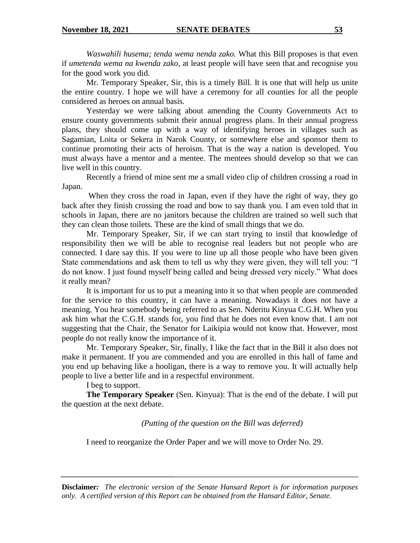*Waswahili husema; tenda wema nenda zako.* What this Bill proposes is that even if *umetenda wema na kwenda zako*, at least people will have seen that and recognise you for the good work you did.

Mr. Temporary Speaker, Sir, this is a timely Bill. It is one that will help us unite the entire country. I hope we will have a ceremony for all counties for all the people considered as heroes on annual basis.

Yesterday we were talking about amending the County Governments Act to ensure county governments submit their annual progress plans. In their annual progress plans, they should come up with a way of identifying heroes in villages such as Sagamian, Loita or Sekera in Narok County, or somewhere else and sponsor them to continue promoting their acts of heroism. That is the way a nation is developed. You must always have a mentor and a mentee. The mentees should develop so that we can live well in this country.

Recently a friend of mine sent me a small video clip of children crossing a road in Japan.

When they cross the road in Japan, even if they have the right of way, they go back after they finish crossing the road and bow to say thank you. I am even told that in schools in Japan, there are no janitors because the children are trained so well such that they can clean those toilets. These are the kind of small things that we do.

Mr. Temporary Speaker, Sir, if we can start trying to instil that knowledge of responsibility then we will be able to recognise real leaders but not people who are connected. I dare say this. If you were to line up all those people who have been given State commendations and ask them to tell us why they were given, they will tell you: "I do not know. I just found myself being called and being dressed very nicely." What does it really mean?

It is important for us to put a meaning into it so that when people are commended for the service to this country, it can have a meaning. Nowadays it does not have a meaning. You hear somebody being referred to as Sen. Nderitu Kinyua C.G.H. When you ask him what the C.G.H. stands for, you find that he does not even know that. I am not suggesting that the Chair, the Senator for Laikipia would not know that. However, most people do not really know the importance of it.

Mr. Temporary Speaker, Sir, finally, I like the fact that in the Bill it also does not make it permanent. If you are commended and you are enrolled in this hall of fame and you end up behaving like a hooligan, there is a way to remove you. It will actually help people to live a better life and in a respectful environment.

# I beg to support.

**The Temporary Speaker** (Sen. Kinyua): That is the end of the debate. I will put the question at the next debate.

*(Putting of the question on the Bill was deferred)*

I need to reorganize the Order Paper and we will move to Order No. 29.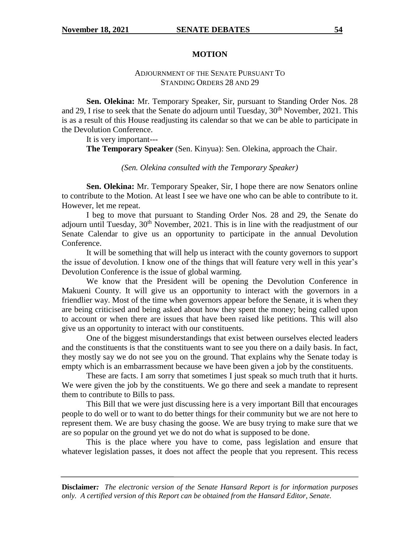### **MOTION**

# ADJOURNMENT OF THE SENATE PURSUANT TO STANDING ORDERS 28 AND 29

**Sen. Olekina:** Mr. Temporary Speaker, Sir, pursuant to Standing Order Nos. 28 and 29, I rise to seek that the Senate do adjourn until Tuesday,  $30<sup>th</sup>$  November, 2021. This is as a result of this House readjusting its calendar so that we can be able to participate in the Devolution Conference.

It is very important---

**The Temporary Speaker** (Sen. Kinyua): Sen. Olekina, approach the Chair.

*(Sen. Olekina consulted with the Temporary Speaker)*

**Sen. Olekina:** Mr. Temporary Speaker, Sir, I hope there are now Senators online to contribute to the Motion. At least I see we have one who can be able to contribute to it. However, let me repeat.

I beg to move that pursuant to Standing Order Nos. 28 and 29, the Senate do adjourn until Tuesday,  $30<sup>th</sup>$  November, 2021. This is in line with the readjustment of our Senate Calendar to give us an opportunity to participate in the annual Devolution Conference.

It will be something that will help us interact with the county governors to support the issue of devolution. I know one of the things that will feature very well in this year's Devolution Conference is the issue of global warming.

We know that the President will be opening the Devolution Conference in Makueni County. It will give us an opportunity to interact with the governors in a friendlier way. Most of the time when governors appear before the Senate, it is when they are being criticised and being asked about how they spent the money; being called upon to account or when there are issues that have been raised like petitions. This will also give us an opportunity to interact with our constituents.

One of the biggest misunderstandings that exist between ourselves elected leaders and the constituents is that the constituents want to see you there on a daily basis. In fact, they mostly say we do not see you on the ground. That explains why the Senate today is empty which is an embarrassment because we have been given a job by the constituents.

These are facts. I am sorry that sometimes I just speak so much truth that it hurts. We were given the job by the constituents. We go there and seek a mandate to represent them to contribute to Bills to pass.

This Bill that we were just discussing here is a very important Bill that encourages people to do well or to want to do better things for their community but we are not here to represent them. We are busy chasing the goose. We are busy trying to make sure that we are so popular on the ground yet we do not do what is supposed to be done.

This is the place where you have to come, pass legislation and ensure that whatever legislation passes, it does not affect the people that you represent. This recess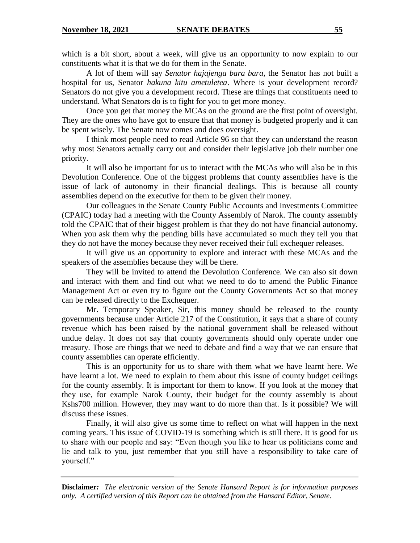which is a bit short, about a week, will give us an opportunity to now explain to our constituents what it is that we do for them in the Senate.

A lot of them will say *Senator hajajenga bara bara*, the Senator has not built a hospital for us, Senator *hakuna kitu ametuletea*. Where is your development record? Senators do not give you a development record. These are things that constituents need to understand. What Senators do is to fight for you to get more money.

Once you get that money the MCAs on the ground are the first point of oversight. They are the ones who have got to ensure that that money is budgeted properly and it can be spent wisely. The Senate now comes and does oversight.

I think most people need to read Article 96 so that they can understand the reason why most Senators actually carry out and consider their legislative job their number one priority.

It will also be important for us to interact with the MCAs who will also be in this Devolution Conference. One of the biggest problems that county assemblies have is the issue of lack of autonomy in their financial dealings. This is because all county assemblies depend on the executive for them to be given their money.

Our colleagues in the Senate County Public Accounts and Investments Committee (CPAIC) today had a meeting with the County Assembly of Narok. The county assembly told the CPAIC that of their biggest problem is that they do not have financial autonomy. When you ask them why the pending bills have accumulated so much they tell you that they do not have the money because they never received their full exchequer releases.

It will give us an opportunity to explore and interact with these MCAs and the speakers of the assemblies because they will be there.

They will be invited to attend the Devolution Conference. We can also sit down and interact with them and find out what we need to do to amend the Public Finance Management Act or even try to figure out the County Governments Act so that money can be released directly to the Exchequer.

Mr. Temporary Speaker, Sir, this money should be released to the county governments because under Article 217 of the Constitution, it says that a share of county revenue which has been raised by the national government shall be released without undue delay. It does not say that county governments should only operate under one treasury. Those are things that we need to debate and find a way that we can ensure that county assemblies can operate efficiently.

This is an opportunity for us to share with them what we have learnt here. We have learnt a lot. We need to explain to them about this issue of county budget ceilings for the county assembly. It is important for them to know. If you look at the money that they use, for example Narok County, their budget for the county assembly is about Kshs700 million. However, they may want to do more than that. Is it possible? We will discuss these issues.

Finally, it will also give us some time to reflect on what will happen in the next coming years. This issue of COVID-19 is something which is still there. It is good for us to share with our people and say: "Even though you like to hear us politicians come and lie and talk to you, just remember that you still have a responsibility to take care of yourself."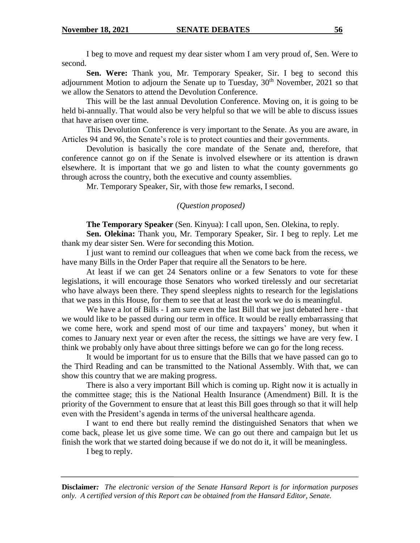I beg to move and request my dear sister whom I am very proud of, Sen. Were to second.

**Sen. Were:** Thank you, Mr. Temporary Speaker, Sir. I beg to second this adjournment Motion to adjourn the Senate up to Tuesday,  $30<sup>th</sup>$  November, 2021 so that we allow the Senators to attend the Devolution Conference.

This will be the last annual Devolution Conference. Moving on, it is going to be held bi-annually. That would also be very helpful so that we will be able to discuss issues that have arisen over time.

This Devolution Conference is very important to the Senate. As you are aware, in Articles 94 and 96, the Senate's role is to protect counties and their governments.

Devolution is basically the core mandate of the Senate and, therefore, that conference cannot go on if the Senate is involved elsewhere or its attention is drawn elsewhere. It is important that we go and listen to what the county governments go through across the country, both the executive and county assemblies.

Mr. Temporary Speaker, Sir, with those few remarks, I second.

### *(Question proposed)*

**The Temporary Speaker** (Sen. Kinyua): I call upon, Sen. Olekina, to reply.

**Sen. Olekina:** Thank you, Mr. Temporary Speaker, Sir. I beg to reply. Let me thank my dear sister Sen. Were for seconding this Motion.

I just want to remind our colleagues that when we come back from the recess, we have many Bills in the Order Paper that require all the Senators to be here.

At least if we can get 24 Senators online or a few Senators to vote for these legislations, it will encourage those Senators who worked tirelessly and our secretariat who have always been there. They spend sleepless nights to research for the legislations that we pass in this House, for them to see that at least the work we do is meaningful.

We have a lot of Bills - I am sure even the last Bill that we just debated here - that we would like to be passed during our term in office. It would be really embarrassing that we come here, work and spend most of our time and taxpayers' money, but when it comes to January next year or even after the recess, the sittings we have are very few. I think we probably only have about three sittings before we can go for the long recess.

It would be important for us to ensure that the Bills that we have passed can go to the Third Reading and can be transmitted to the National Assembly. With that, we can show this country that we are making progress.

There is also a very important Bill which is coming up. Right now it is actually in the committee stage; this is the National Health Insurance (Amendment) Bill. It is the priority of the Government to ensure that at least this Bill goes through so that it will help even with the President's agenda in terms of the universal healthcare agenda.

I want to end there but really remind the distinguished Senators that when we come back, please let us give some time. We can go out there and campaign but let us finish the work that we started doing because if we do not do it, it will be meaningless.

I beg to reply.